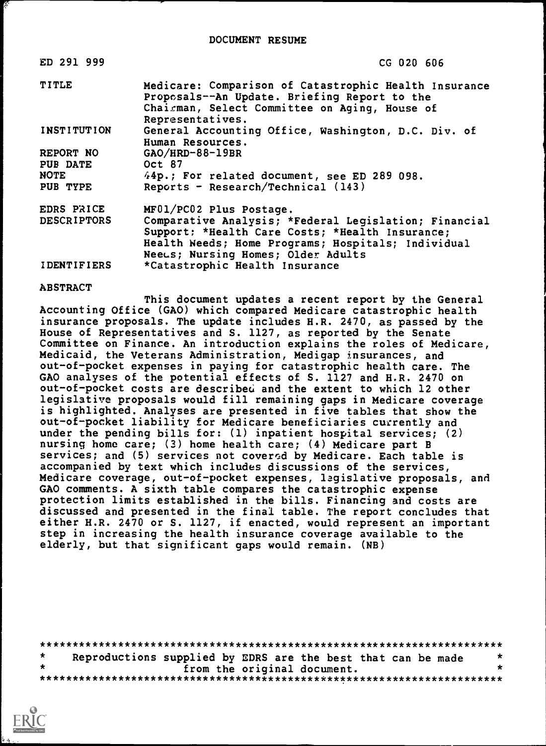| ED 291 999         | CG 020 606                                                                                                                                                                 |
|--------------------|----------------------------------------------------------------------------------------------------------------------------------------------------------------------------|
| <b>TITLE</b>       | Medicare: Comparison of Catastrophic Health Insurance<br>Proposals--An Update. Briefing Report to the<br>Chairman, Select Committee on Aging, House of<br>Representatives. |
| <b>INSTITUTION</b> | General Accounting Office, Washington, D.C. Div. of<br>Human Resources.                                                                                                    |
| REPORT NO          | $GAO/HRD-88-19BR$                                                                                                                                                          |
| PUB DATE           | Oct 87                                                                                                                                                                     |
| <b>NOTE</b>        | 44p.; For related document, see ED 289 098.                                                                                                                                |
| PUB TYPE           | Reports - Research/Technical $(143)$                                                                                                                                       |
| EDRS PRICE         | MF01/PC02 Plus Postage.                                                                                                                                                    |
| <b>DESCRIPTORS</b> | Comparative Analysis; *Federal Legislation; Financial                                                                                                                      |
|                    | Support: *Health Care Costs; *Health Insurance;                                                                                                                            |
|                    | Health Needs; Home Programs; Hospitals; Individual                                                                                                                         |
|                    | Neeus: Nursing Homes; Older Adults                                                                                                                                         |
| <i>IDENTIFIERS</i> | *Catastrophic Health Insurance                                                                                                                                             |

#### ABSTRACT

This document updates a recent report by the General Accounting Office (GAO) which compared Medicare catastrophic health insurance proposals. The update includes H.R. 2470, as passed by the House of Representatives and S. 1127, as reported by the Senate Committee on Finance. An introduction explains the roles of Medicare, Medicaid, the Veterans Administration, Medigap insurances, and out-of-pocket expenses in paying for catastrophic health care. The GAO analyses of the potential effects of S. 1127 and H.R. 2470 on out-of-pocket costs are described and the extent to which 12 other legislative proposals would fill remaining gaps in Medicare coverage is highlighted. Analyses are presented in five tables that show the out-of-pocket liability for Medicare beneficiaries currently and under the pending bills for: (1) inpatient hospital services; (2) nursing home care; (3) home health care; (4) Medicare part B services; and (5) services not covered by Medicare. Each table is accompanied by text which includes discussions of the services, Medicare coverage, out-of-pocket expenses, legislative proposals, and GAO comments. A sixth table compares the catastrophic expense protection limits established in the bills. Financing and costs are discussed and presented in the final table. The report concludes that either H.R. 2470 or S. 1127, if enacted, would represent an important step in increasing the health insurance coverage available to the elderly, but that significant gaps would remain. (NB)

| Reproductions supplied by EDRS are the best that can be made |                             |  |  |
|--------------------------------------------------------------|-----------------------------|--|--|
|                                                              | from the original document. |  |  |
|                                                              |                             |  |  |

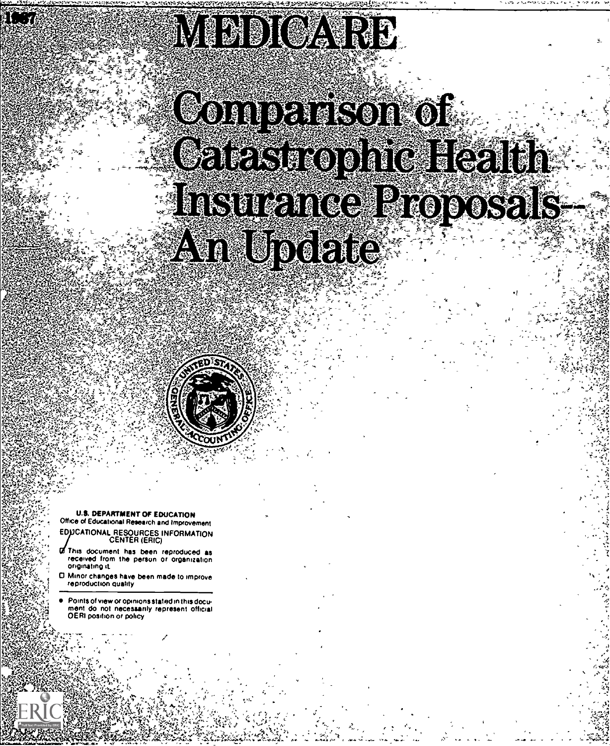# MINDIOATH,

Comerison of Galesiskophic Health Insurance Proposals **Availupdate** 

**U.S. DEPARTMENT OF EDUCATION** ice of Educational Research and Improvement EDUCATIONAL RESOURCES INFORMATION CENTER (ERIC)

This document has been reproduced as received from the person or organization originating it.

D Minor changes have been made to improreproduction quality

Points of view or opinions stated in this document do not necessarily represent official OERI position or policy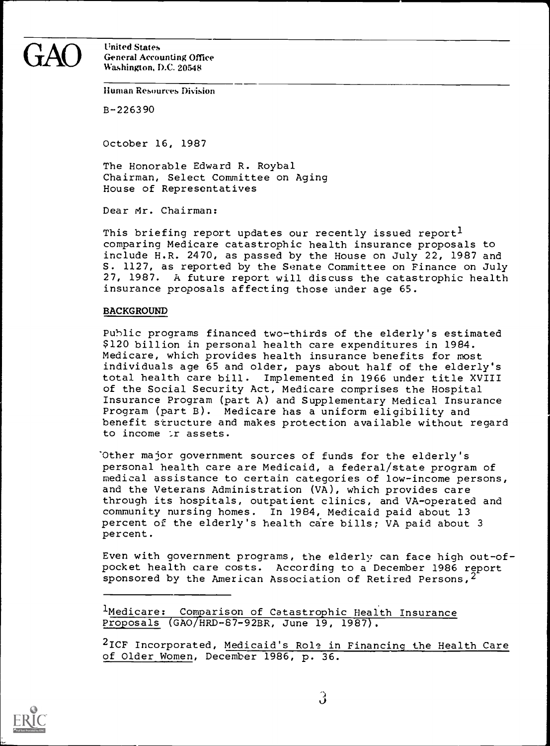$\rm{GAO}$  United States<br>Washington, D.C. 20548 General Accounting Office Washington, D.C. 20548

Human Resources Division

B-226390

October 16, 1987

The Honorable Edward R. Roybal Chairman, Select Committee on Aging House of Representatives

Dear Mr. Chairman:

This briefing report updates our recently issued report<sup>1</sup> comparing Medicare catastrophic health insurance proposals to include H.R. 2470, as passed by the House on July 22, 1987 and S. 1127, as reported by the Senate Committee on Finance on July 27, 1987. A future report will discuss the catastrophic health insurance proposals affecting those under age 65.

#### BACKGROUND

Public programs financed two-thirds of the elderly's estimated \$120 billion in personal health care expenditures in 1984. Medicare, which provides health insurance benefits for most individuals age 65 and older, pays about half of the elderly's total health care bill. Implemented in 1966 under title XVIII of the Social Security Act, Medicare comprises the Hospital Insurance Program (part A) and Supplementary Medical Insurance Program (part B). Medicare has a uniform eligibility and benefit structure and makes protection available without regard to income :r assets.

-Other major government sources of funds for the elderly's personal health care are Medicaid, a federal/state program of medical assistance to certain categories of low-income persons, and the Veterans Administration (VA), which provides care through its hospitals, outpatient clinics, and VA-operated and community nursing homes. In 1984, Medicaid paid about 13 percent of the elderly's health care bills; VA paid about 3 percent.

Even with government programs, the elderly can face high out-ofpocket health care costs. According to a December 1986 report sponsored by the American Association of Retired Persons,  $2$ 

<sup>l</sup>Medicare: Comparison of Catastrophic Health Insurance Pr oposals (GAO HRD-87-92BR, June 19, 1987).

 $^{\text{2}}$ ICF Incorporated, <u>Medicaid's Role in Financing the Health Care</u>  $\qquad \qquad \mid$ of Older Women, December 1986, p. 36.

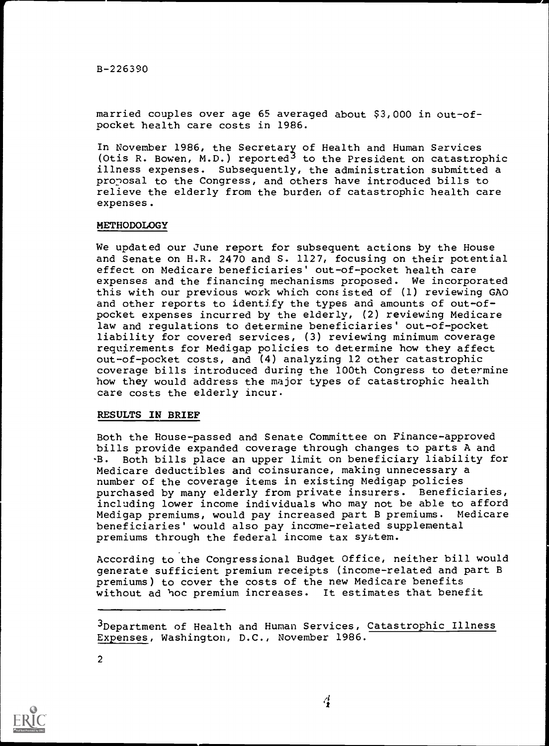B-226390

married couples over age 65 averaged about \$3,000 in out-ofpocket health care costs in 1986.

In November 1986, the Secretary of Health and Human Services (Otis R. Bowen, M.D.) reported<sup>3</sup> to the President on catastrophic illness expenses. Subsequently, the administration submitted a proposal to the Congress, and others have introduced bills to relieve the elderly from the burden of catastrophic health care expenses.

#### METHODOLOGY

We updated our June report for subsequent actions by the House and Senate on H.R. 2470 and S. 1127, focusing on their potential effect on Medicare beneficiaries' out-of-pocket health care expenses and the financing mechanisms proposed. We incorporated this with our previous work which consisted of (1) reviewing GAO and other reports to identify the types and amounts of out-ofpocket expenses incurred by the elderly, (2) reviewing Medicare law and regulations to determine beneficiaries' out-of-pocket liability for covered services, (3) reviewing minimum coverage requirements for Medigap policies to determine how they affect out-of-pocket costs, and (4) analyzing 12 other catastrophic coverage bills introduced during the 100th Congress to determine how they would address the major types of catastrophic health care costs the elderly incur.

#### RESULTS IN BRIEF

Both the House-passed and Senate Committee on Finance-approved bills provide expanded coverage through changes to parts A and -B. Both bills place an upper limit on beneficiary liability for Medicare deductibles and coinsurance, making unnecessary a number of the coverage items in existing Medigap policies purchased by many elderly from private insurers. Beneficiaries, including lower income individuals who may not be able to afford Medigap premiums, would pay increased part B premiums. Medicare beneficiaries' would also pay income-related supplemental premiums through the federal income tax system.

According to the Congressional Budget Office, neither bill would generate sufficient premium receipts (income-related and part B premiums) to cover the costs of the new Medicare benefits without ad hoc premium increases. It estimates that benefit

<sup>&</sup>lt;sup>3</sup>Department of Health and Human Services, Catastrophic Illness Expenses, Washington, D.C., November 1986.



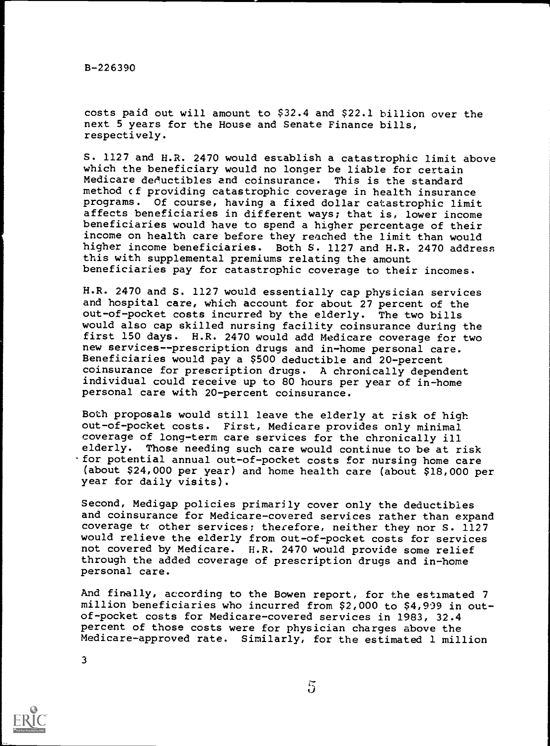B-226390

costs paid out will amount to \$32.4 and \$22.1 billion over the next 5 years for the House and Senate Finance bills, respectively.

S. 1127 and H.R. 2470 would establish a catastrophic limit above which the beneficiary would no longer be liable for certain<br>Medicare deductibles and coinsurance. This is the standard Medicare deductibles and coinsurance. method of providing catastrophic coverage in health insurance<br>programs. Of course, having a fixed dollar catastrophic limit Of course, having a fixed dollar catastrophic limit affects beneficiaries in different ways; that is, lower income beneficiaries would have to spend a higher percentage of their income on health care before they reached the limit than would higher income beneficiaries. Both S. 1127 and H.R. 2470 address this with supplemental premiums relating the amount beneficiaries pay for catastrophic coverage to their incomes.

H.R. 2470 and S. 1127 would essentially cap physician services and hospital care, which account for about 27 percent of the out-of-pocket costs incurred by the elderly. The two bills would also cap skilled nursing facility coinsurance during the first 150 days. H.R. 2470 would add Medicare coverage for two new services--prescription drugs and in-home personal care. Beneficiaries would pay a \$500 deductible and 20-percent coinsurance for prescription drugs. A chronically dependent individual could receive up to 80 hours per year of in-home personal care with 20-percent coinsurance.

Both proposals would still leave the elderly at risk of high out-of-pocket costs. First, Medicare provides only minimal coverage of long-term care services for the chronically ill elderly. Those needing such care would continue to be at risk for potential annual out-of-pocket costs for nursing home care (about \$24,000 per year) and home health care (about \$18,000 per year for daily visits).

Second, Medigap policies primarily cover only the deductibles and coinsurance for Medicare-covered services rather than expand coverage to other services; therefore, neither they nor S. 1127 would relieve the elderly from out-of-pocket costs for services not covered by Medicare. H.R. 2470 would provide some relief through the added coverage of prescription drugs and in-home personal care.

And finally, according to the Bowen report, for the estimated 7 million beneficiaries who incurred from \$2,000 to \$4,999 in outof-pocket costs for Medicare-covered services in 1983, 32.4 percent of those costs were for physician charges above the Medicare-approved rate. Similarly, for the estimated 1 million

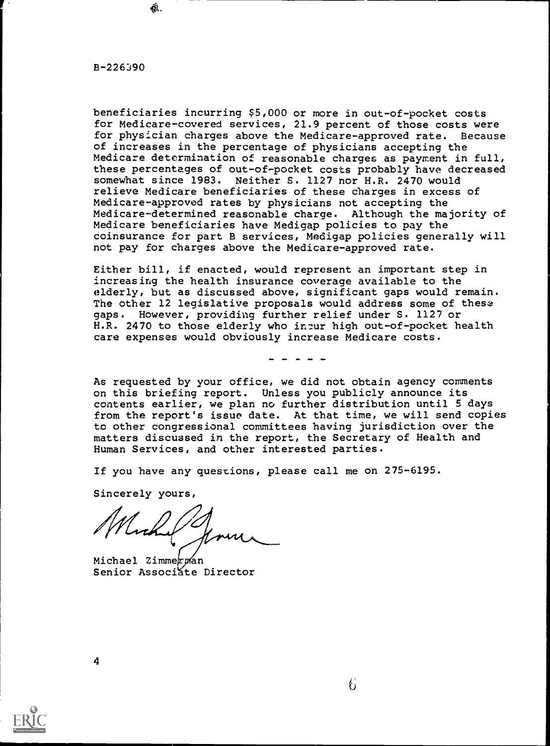$B - 226390$ 

食.

beneficiaries incurring \$5,000 or more in out-of-pocket costs for Medicare-covered services, 21.9 percent of those costs were for physician charges above the Medicare-approved rate. Because of increases in the percentage of physicians accepting the Medicare determination of reasonable charges as payment in full, these percentages of out-of-pocket costs probably have decreased<br>somewhat since 1983. Neither S. 1127 nor H.R. 2470 would Neither S. 1127 nor H.R. 2470 would relieve Medicare beneficiaries of these charges in excess of Medicare-approved rates by physicians not accepting the Medicare-determined reasonable charge. Although the majority of Medicare beneficiaries have Medigap policies to pay the coinsurance for part B services, Medigap policies generally will not pay for charges above the Medicare-approved rate.

Either bill, if enacted, would represent an important step in increasing the health insurance coverage available to the elderly, but as discussed above, significant gaps would remain. The other 12 legislative proposals would address some of these gaps. However, providing further relief under S. 1127 or H.R. 2470 to those elderly who inpur high out-of-pocket health care expenses would obviously increase Medicare costs.

As requested by your office, we did not obtain agency comments on this briefing report. Unless you publicly announce its contents earlier, we plan no further distribution until 5 days from the report's issue date. At that time, we will send copies to other congressional committees having jurisdiction over the matters discussed in the report, the Secretary of Health and Human Services, and other interested parties.

If you have any questions, please call me on 275-6195.

Sincerely yours,

Michael Zimmerpan Senior Associate Director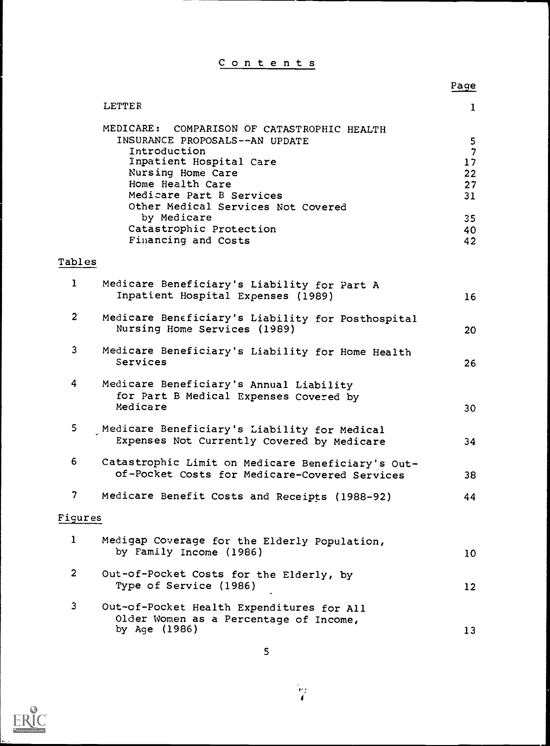Contents

|                |                                                                                                                                                                                                                                     | Page                                                  |  |
|----------------|-------------------------------------------------------------------------------------------------------------------------------------------------------------------------------------------------------------------------------------|-------------------------------------------------------|--|
|                | LETTER                                                                                                                                                                                                                              | $\mathbf{1}$                                          |  |
|                | MEDICARE: COMPARISON OF CATASTROPHIC HEALTH<br>INSURANCE PROPOSALS--AN UPDATE<br>Introduction<br>Inpatient Hospital Care<br>Nursing Home Care<br>Home Health Care<br>Medicare Part B Services<br>Other Medical Services Not Covered | 5<br>$\overline{\phantom{a}}$<br>17<br>22<br>27<br>31 |  |
|                | by Medicare<br>Catastrophic Protection<br>Financing and Costs                                                                                                                                                                       | 35<br>40<br>42                                        |  |
| Tables         |                                                                                                                                                                                                                                     |                                                       |  |
| $\mathbf{1}$   | Medicare Beneficiary's Liability for Part A<br>Inpatient Hospital Expenses (1989)                                                                                                                                                   | 16                                                    |  |
| $\overline{2}$ | Medicare Beneficiary's Liability for Posthospital<br>Nursing Home Services (1989)                                                                                                                                                   | 20                                                    |  |
| 3              | Medicare Beneficiary's Liability for Home Health<br>Services                                                                                                                                                                        | 26                                                    |  |
| 4              | Medicare Beneficiary's Annual Liability<br>for Part B Medical Expenses Covered by<br>Medicare                                                                                                                                       | 30                                                    |  |
| 5              | Medicare Beneficiary's Liability for Medical<br>Expenses Not Currently Covered by Medicare                                                                                                                                          | 34                                                    |  |
| 6              | Catastrophic Limit on Medicare Beneficiary's Out-<br>of-Pocket Costs for Medicare-Covered Services                                                                                                                                  | 38                                                    |  |
| 7              | Medicare Benefit Costs and Receipts (1988-92)                                                                                                                                                                                       | 44                                                    |  |
| Figures        |                                                                                                                                                                                                                                     |                                                       |  |
| $\mathbf{1}$   | Medigap Coverage for the Elderly Population,<br>by Family Income (1986)                                                                                                                                                             | 10                                                    |  |
| $\overline{2}$ | Out-of-Pocket Costs for the Elderly, by<br>Type of Service (1986)                                                                                                                                                                   | 12                                                    |  |
| 3              | Out-of-Pocket Health Expenditures for All<br>Older Women as a Percentage of Income,<br>by Age (1986)                                                                                                                                | 13                                                    |  |

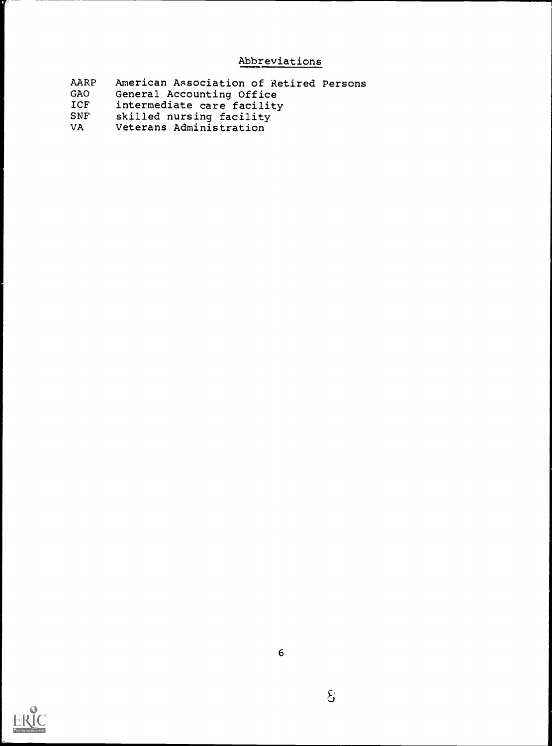## Abbreviations

| AARP<br>American Association of Retired Persons |  |
|-------------------------------------------------|--|
|-------------------------------------------------|--|

- GAO General Accounting Office
- ICF intermediate care facility
- SNF skilled nursing facility
- VA Veterans Administration

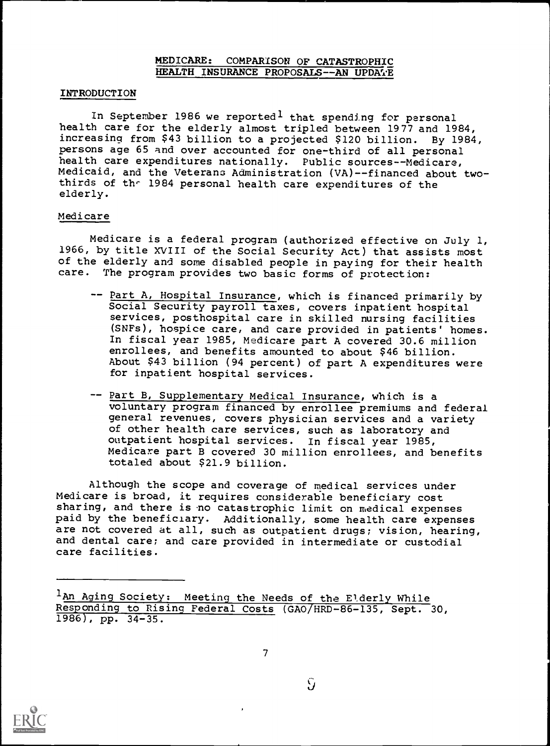## MEDICARE: COMPARISON OF CATASTROPHIC HEALTH INSURANCE PROPOSALS -- AN UPDATE

### INTRODUCTION

In September 1986 we reported<sup>1</sup> that spending for personal health care for the elderly almost tripled between 1977 and 1984, increasing from \$43 billion to a projected \$120 billion. By 1984, persons age 65 and over accounted for one-third of all personal health care expenditures nationally. Public sources--Medicare, Medicaid, and the Veterans Administration (VA)--financed about twothirds of the 1984 personal health care expenditures of the elderly.

#### Medicare

Medicare is a federal program (authorized effective on July 1, 1966, by title XVIII of the Social Security Act) that assists most of the elderly and some disabled people in paying for their health care. The program provides two basic forms of protection:

- -- Part A, Hospital Insurance, which is financed primarily by Social Security payroll taxes, covers inpatient hospital services, posthospital care in skilled nursing facilities (SNFs), hospice care, and care provided in patients' homes. In fiscal year 1985, Medicare part A covered 30.6 million enrollees, and benefits amounted to about \$46 billion. About \$43 billion (94 percent) of part A expenditures were for inpatient hospital services.
- -- Part B, Supplementary Medical Insurance, which is a voluntary program financed by enrollee premiums and federal general revenues, covers physician services and a variety of other health care services, such as laboratory and outpatient hospital services. In fiscal year 1985, Medicare part B covered 30 million enrollees, and benefits totaled about \$21.9 billion.

Although the scope and coverage of medical services under Medicare is broad, it requires considerable beneficiary cost sharing, and there is no catastrophic limit on medical expenses paid by the beneficiary. Additionally, some health care expenses are not covered at all, such as outpatient drugs; vision, hearing, and dental care; and care provided in intermediate or custodial care facilities.



<sup>1</sup>An Aging Society: Meeting the Needs of the Elderly While Responding to Rising Federal Costs (GAO/HRD-86-135, Sept. 30, 1986), pp. 34-35.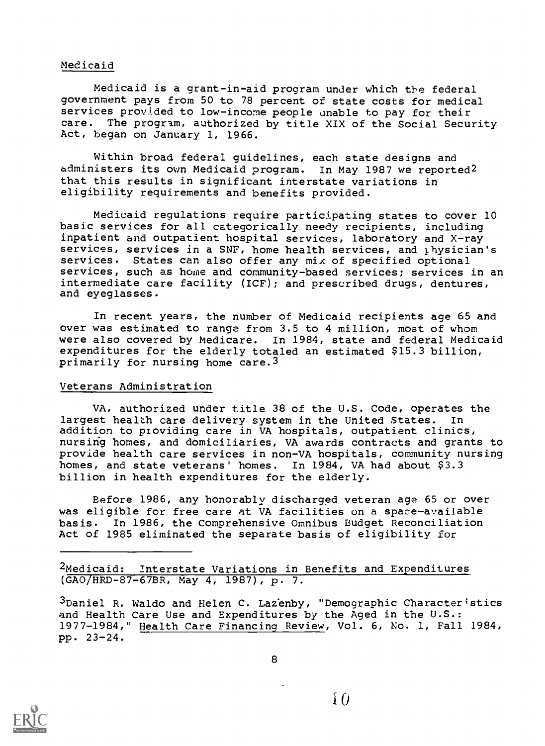#### Medicaid

Medicaid is a grant-in-aid program under which the federal government pays from 50 to 78 percent of state costs for medical services provided to low-income people unable to pay for their care. The program, authorized by title XIX of the Social Security Act, began on January 1, 1966.

Within broad federal guidelines, each state designs and administers its own Medicaid program. In May 1987 we reported2 that this results in significant interstate variations in eligibility requirements and benefits provided.

Medicaid regulations require participating states to cover 10 basic services for all categorically needy recipients, including inpatient and outpatient hospital services, laboratory and X-ray services, services in a SNF, home health services, and  $<sub>i</sub>$  hysician's</sub> services. States can also offer any mix of specified optional services, such as home and community-based services; services in an intermediate care facility (ICF); and prescribed drugs, dentures, and eyeglasses.

In recent years, the number of Medicaid recipients age 65 and over was estimated to range from 3.5 to 4 million, most of whom were also covered by Medicare. In 1984, state and federal Medicaid expenditures for the elderly totaled an estimated \$15.3 billion, primarily for nursing home care.3

#### Veterans Administration

VA, authorized under title 38 of the U.S. Code, operates the largest health care delivery system in the United States. In addition to providing care in VA hospitals, outpatient clinics, nursing homes, and domiciliaries, VA awards contracts and grants to provide health care services in non-VA hospitals, community nursing homes, and state veterans' homes. In 1984, VA had about \$3.3 billion in health expenditures for the elderly.

Before 1986, any honorably discharged veteran age 65 or over was eligible for free care at VA facilities on a space-available basis. In 1986, the Comprehensive Omnibus Budget Reconciliation Act of 1985 eliminated the separate basis of eligibility for

<sup>2</sup>Medicaid: Interstate Variations in Benefits and Expenditures (GAO/HRD-87-67BR, May 4, 1987), p. 7.

3Daniel R. Waldo and Helen C. Lazenby, "Demographic Characteristics and Health Care Use and Expenditures by the Aged in the U.S.: 1977-1984," Health Care Financing Review, Vol. 6, No. 1, Fall 1984, pp. 23-24.

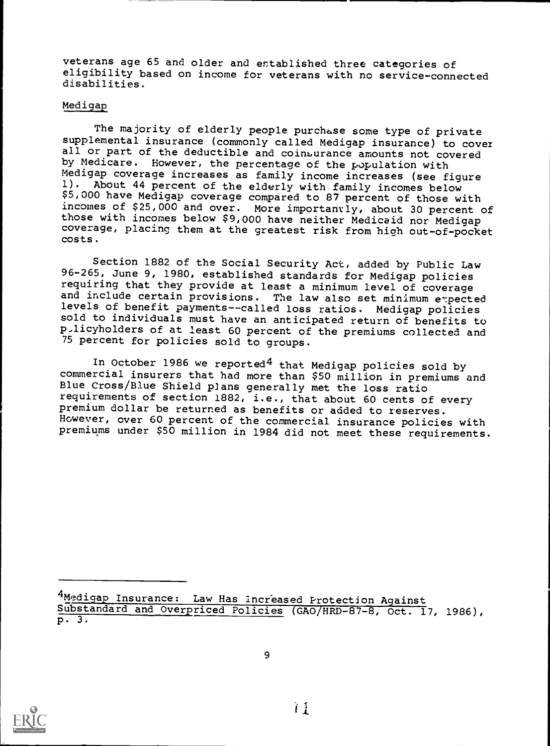veterans age 65 and older and established three categories of eligibility based on income for veterans with no service-connected disabilities.

#### Medigap

The majority of elderly people purchase some type of private supplemental insurance (commonly called Medigap insurance) to cover all or part of the deductible and coinsurance amounts not covered by Medicare. However, the percentage of the population with Medigap coverage increases as family income increases (see figure<br>1). About 44 percent of the elderly with family ircomes below About 44 percent of the elderly with family incomes below \$5,000 have Medigap coverage compared to 87 percent of those with incomes of \$25,000 and over. More importantly, about 30 percent of those with incomes below \$9,000 have neither Medicaid nor Medigap coverage, placing them at the greatest risk from high out-of-pocket costs.

Section 1882 of the Social Security Act, added by Public Law 96-265, June 9, 1980, established standards for Medigap policies requiring that they provide at least a minimum level of coverage<br>and include certain provisions. The law also set minimum expected levels of benefit payments--called loss ratios. Medigap policies sold to individuals must have an anticipated return of benefits to p.licyholders of at least 60 percent of the premiums collected and 75 percent for policies sold to groups.

In October 1986 we reported<sup>4</sup> that Medigap policies sold by commercial insurers that had more than \$50 million in premiums and Blue Cross/Blue Shield plans generally met the loss ratio requirements of section 1882, i.e., that about 60 cents of every premium dollar be returned as benefits or added to reserves. However, over 60 percent of the commercial insurance policies with premiums under \$50 million in 1984 did not meet these requirements.



<sup>4</sup>Medigap Insurance: Law Has Increased Protection Against Substandard and Overpriced Policies (GAO/HRD-87-8, Oct. 17, 1986), p. 3.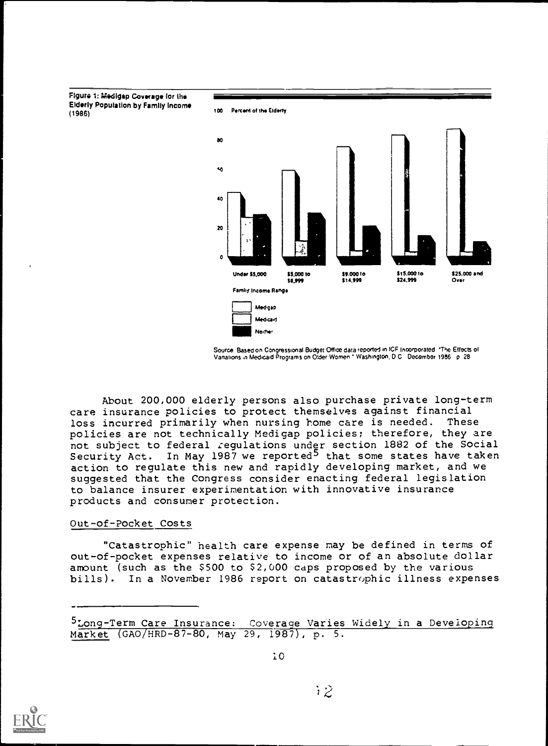Figure 1: Medigsp Coverage for the Elderly Population by Family Income

Percent of the Elderly



Source: Based on Congressional Budget Office data reported in ICF Incorporated. "The Effects of<br>Vanations in Medicaid Programs on Older Women \* Washington, D.C. December 1986 . p. 28

About 200,000 elderly persons also purchase private long-term care insurance policies to protect themselves against financial<br>loss incurred primarily when nursing home care is needed. These loss incurred primarily when nursing home care is needed. policies are not technically Medigap policies; therefore, they are not subject to federal regulations under section 1882 of the Social Security Act. In May 1987 we reported<sup>5</sup> that some states have taken action to regulate this new and rapidly developing market, and we suggested that the Congress consider enacting federal legislation to balance insurer experimentation with innovative insurance products and consumer protection.

#### Out-of-Pocket Costs

"Catastrophic" health care expense may be defined in terms of out-of-pocket expenses relative to income or of an absolute dollar amount (such as the \$500 to \$2,000 caps proposed by the various bills). In a November 1986 report on catastrophic illness expenses



<sup>5</sup>Long-Term Care Insurance: Coverage Varies Widely in a Developing Market (GAO/HRD-87-80, May 29, 1987), p. 5.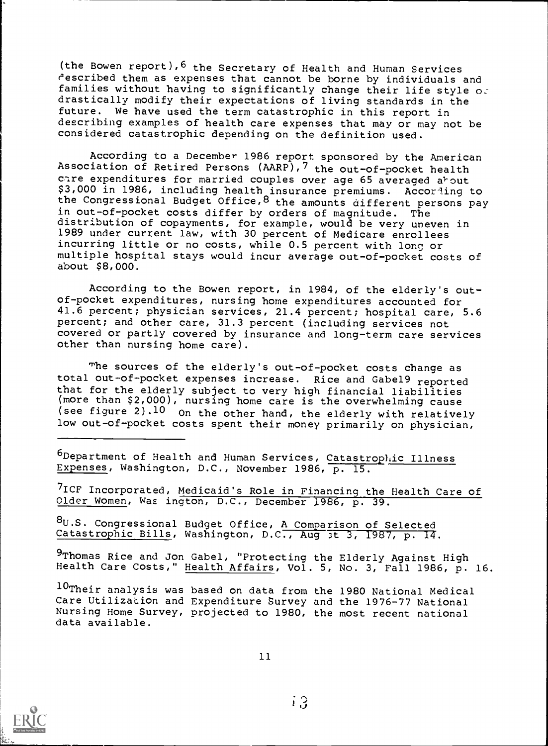(the Bowen report),6 the Secretary of Health and Human Services cescribed them as expenses that cannot be borne by individuals and families without having to significantly change their life style  $\circ$ . drastically modify their expectations of living standards in the future. We have used the term catastrophic in this report in describing examples of health care expenses that may or may not be considered catastrophic depending on the definition used.

According to a December 1986 report sponsored by the American Association of Retired Persons (AARP),7 the out-of-pocket health care expenditures for married couples over age 65 averaged about \$3,000 in 1986, including health insurance premiums. According to the Congressional Budget Office, 8 the amounts different persons pay in out-of-pocket costs differ by orders of magnitude. The distribution of copayments, for example, would be very uneven in 1989 under current law, with 30 percent of Medicare enrollees incurring little or no costs, while 0.5 percent with long or multiple hospital stays would incur average out-of-pocket costs of about \$8,000.

According to the Bowen report, in 1984, of the elderly's outof-pocket expenditures, nursing home expenditures accounted for 41.6 percent; physician services, 21.4 percent; hospital care, 5.6 percent; and other care, 31.3 percent (including services not covered or partly covered by insurance and long-term care services other than nursing home care).

The sources of the elderly's out-of-pocket costs change as total out-of-pocket expenses increase. Rice and Gabel9 reported that for the elderly subject to very high financial liabilities (more than \$2,000), nursing home care is the overwhelming cause (see figure 2) .10 On the other hand, the elderly with relatively low out-of-pocket costs spent their money primarily on physician,

 $6$ Department of Health and Human Services, Catastrophic Illness Expenses, Washington, D.C., November 1986, p. 15.

7ICF Incorporated, Medicaid's Role in Financing the Health Care of Older Women, Was ington, D.C., December 1986, p. 39.

8U.S. Congressional Budget Office, A Comparison of Selected Catastrophic Bills, Washington, D.C., Aug 3t 3, 1987, p. 14.

9Thomas Rice and Jon Gabel, "Protecting the Elderly Against High Health Care Costs," Health Affairs, Vol. 5, No. 3, Fall 1986, p. 16.

10Their analysis was based on data from the 1980 National Medical Care Utilization and Expenditure Survey and the 1976-77 National Nursing Home Survey, projected to 1980, the most recent national data available.

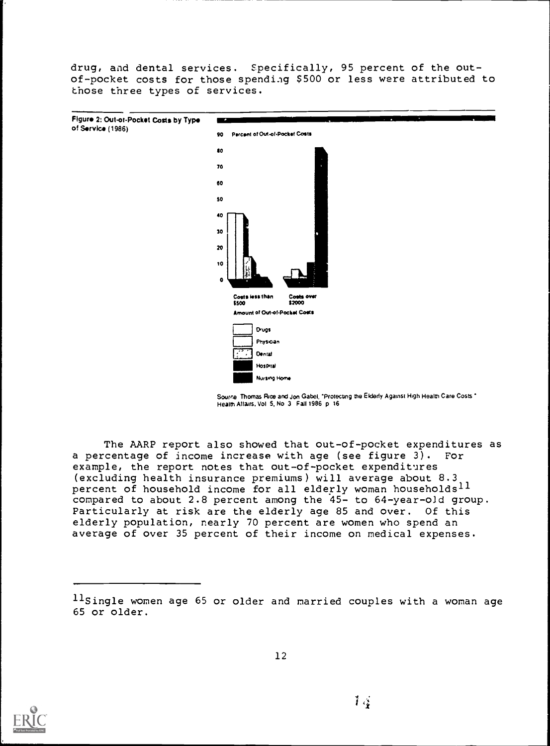drug, and dental services. Specifically, 95 percent of the outof-pocket costs for those spending \$500 or less were attributed to those three types of services.



Source Thomas Rice and Jon Gabel, "Protecting the Elderly Against High Health Care Costs." Health Attans, Vol 5, No 3 Fall 1986 p 16

The AARP report also showed that out-of-pocket expenditures as a percentage of income increase with age (see figure 3). For example, the report notes that out-of-pocket expenditures (excluding health insurance premiums) will average about 8.3 percent of household income for all elderly woman households<sup>11</sup> compared to about 2.8 percent among the 45- to 64-year-old group. Particularly at risk are the elderly age 85 and over. Of this elderly population, nearly 70 percent are women who spend an average of over 35 percent of their income on medical expenses.



llsingle women age 65 or older and married couples with a woman age 65 or older.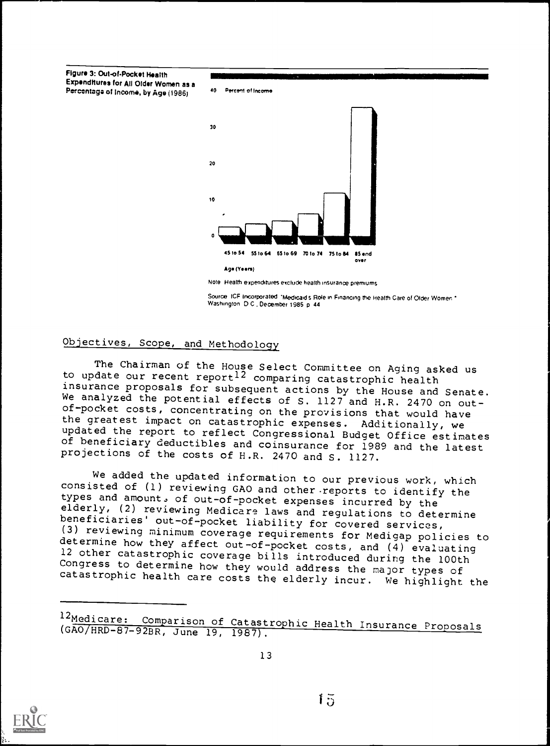Figure 3: Out-of-Pocket Health Expenditures for All Older Women as a Percentage of Income, by Age (1986)



Note Health expenditures exclude health insurance premiums

Source ICF Incorporated \*Medicaid's Role in Financing the Health Care of Older Women \* Washington D C December 1985 p 44

## Objectives, Scope, and Methodology

The Chairman of the House Select Committee on Aging asked us<br>to update our recent report<sup>12</sup> comparing catastrophic health<br>insurance proposals for subsequent actions by the House and Senate. We analyzed the potential effects of S. 1127 and H.R. 2470 on out-<br>of-pocket costs, concentrating on the provisions that would have<br>the greatest impact on catastrophic expenses. Additionally, we updated the report to reflect Congressional Budget Office estimates<br>of beneficiary deductibles and coinsurance for 1989 and the latest<br>projections of the costs of H.R. 2470 and S. 1127.

We added the updated information to our previous work, which<br>consisted of (1) reviewing GAO and other reports to identify the<br>types and amount, of out-of-pocket expenses incurred by the<br>elderly, (2) reviewing Medicare laws (3) reviewing minimum coverage requirements for Medigap policies to<br>determine how they affect out-of-pocket costs, and (4) evaluating<br>12 other catastrophic coverage bills introduced during the 100th<br>Congress to determine

<sup>12</sup>Medicare: Comparison of Catastrophic Health Insurance Proposals (GAO/HRD-87-92BR, June 19, 1987).



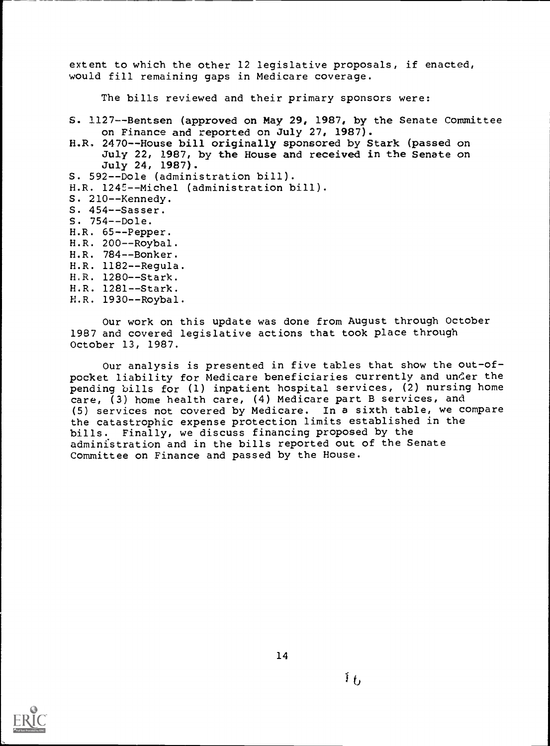extent to which the other 12 legislative proposals, if enacted, would fill remaining gaps in Medicare coverage.

The bills reviewed and their primary sponsors were:

S. 1127--Bentsen (approved on May 29, 1987, by the Senate Committee on Finance and reported on July 27, 1987).

H.R. 2470--House bill originally sponsored by Stark (passed on July 22, 1987, by the House and received in the Senate on July 24, 1987). S. 592--Dole (administration bill). H.R. 1245--Michel (administration bill). S. 210--Kennedy. S. 454--Sasser. S. 754--Dole. H.R. 65--Pepper. H.R. 200--Roybal. H.R. 784--Bonker. H.R. 1182--Regula. H.R. 1280--Stark. H.R. 1281--Stark. H.R. 1930--Roybal.

Our work on this update was done from August through October

1987 and covered legislative actions that took place through October 13, 1987.

Our analysis is presented in five tables that show the out-ofpocket liability for Medicare beneficiaries currently and under the pending bills for (1) inpatient hospital services, (2) nursing home care, (3) home health care, (4) Medicare part B services, and (5) services not covered by Medicare. In a sixth table, we compare the catastrophic expense protection limits established in the bills. Finally, we discuss financing proposed by the administration and in the bills reported out of the Senate Committee on Finance and passed by the House.

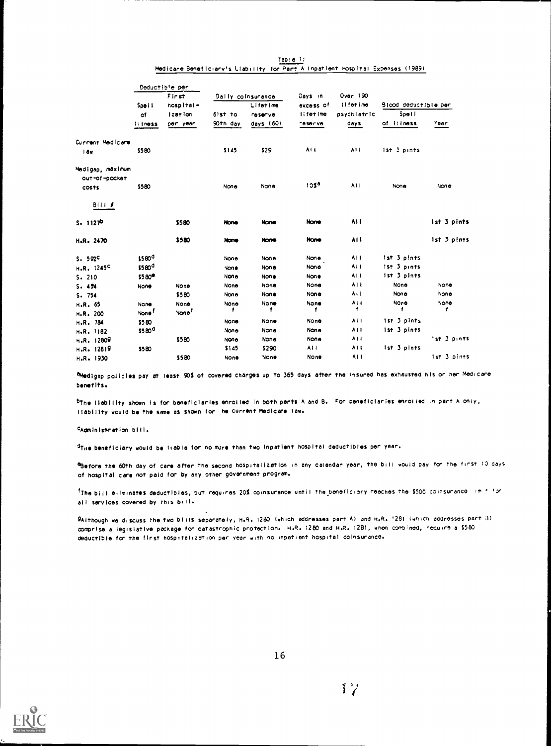|                                   |                    | Deductible per    |             |                   |                |                     |                      |             |
|-----------------------------------|--------------------|-------------------|-------------|-------------------|----------------|---------------------|----------------------|-------------|
|                                   |                    | First             |             | Dally coinsurance | Days in        | Over 190            |                      |             |
|                                   | Spe i I            | hospital-         |             | Lifetime          | excess of      | Il fet ime          | Blood deductible per |             |
|                                   | of                 | Ization           | $6!st$ to   | <b>reserve</b>    | lifetime       | psychlatric         | Spell                |             |
|                                   | <b>Illness</b>     | per year          | 90th day    | days $(60)$       | <b>Teserve</b> | days                | of illness           | Year        |
| Current Medicare                  |                    |                   |             |                   |                |                     |                      |             |
| 1 av                              | \$580              |                   | \$145       | \$29              | ALL.           | A11                 | 1st 3 pints          |             |
| Medigap, māximum<br>out-of-pocket |                    |                   |             |                   |                |                     |                      |             |
| costs                             | \$580              |                   | None        | None              | 105ª           | A11                 | None                 | tione       |
| BIII                              |                    |                   |             |                   |                |                     |                      |             |
| $S = 1127P$                       |                    | \$580             | None        | <b>None</b>       | None           | AI I                |                      | 1st 3 pints |
| H.R. 2470                         |                    | \$580             | <b>Hone</b> | <b>None</b>       | None           | AH.                 |                      | 1st 3 pints |
| 5.592 <sup>c</sup>                | \$580 <sup>d</sup> |                   | None        | None              | None           | AH.                 | ist 3 pints          |             |
| H.R. 1245C                        | \$580 <sup>0</sup> |                   | None        | None              | None           | AI1                 | 1st 3 pints          |             |
| S. 210                            | \$580°             |                   | None        | None              | <b>None</b>    | ALL                 | 1st 3 pints          |             |
| 5.454                             | None               | None              | None        | None              | None           | A1 L                | None                 | None        |
| S.754                             |                    | \$580             | None        | None              | None           | ALL                 | None                 | None        |
| H.R. 65                           | None               | None              | None        | None              | None           | AI I                | None                 | None        |
| H.R. 200                          | None <sup>T</sup>  | None <sup>?</sup> |             | 1                 | 1              | $\ddot{\mathbf{r}}$ |                      | 1           |
| H.R. 784                          | \$580              |                   | None        | None              | None           | AII                 | ist 3 pints          |             |
| H.R. 1182                         | \$580 <sup>0</sup> |                   | None        | None              | None           | A11                 | 1st 3 pints          |             |
| H.R.12809                         |                    | \$580             | None        | None              | None           | A1 I                |                      | 1st 3 pints |
| H.R. 12819                        | \$580              |                   | \$145       | \$290             | A11            | A1 I                | ist 3 pints          |             |
| H.R. 1930                         |                    | \$580             | <b>None</b> | None              | None           | 411                 |                      | 1st 3 pints |

Table 1:<br>Medicare Beneficiary's Liability for Part A inpatient Hospital Expenses (1989)

Nedigap policies pay at least 90% of covered charges up to 365 days after the insured has exhausted his or her Medicare benefits.

bThe liability shown is for beneficiaries enrolled in both parts A and B. For beneficiaries enrolled in part A only, liability would be the same as shown for he current Medicare law.

CAdministration bill.

/Tile beneficiary would be liable for no more than two Inpatient hospital deductibles per year.

'Before the 60th day of care after the second hospitalization in any calendar year, the bill would pay for the first 10 dayS Of hospital care not paid for by any other government program.

 $^{\rm f}$ The bill eliminates deductibles, but requires 20% coinsurance until the beneficiary reaches the \$500 coinsurance  $+m$  for all services covered by this Dill.

9Although we discuss the two bills separately, H.R. 1280 (which addresses part A) and H.R. '281 (which addresses part 8) oonprise a iegislatIve package foe catastrophic protection. H.R. 1280 and H.R. 1281, when combined, require a S580 deductible for the first hospitalization per year with no inpatient hospital coinsurance.

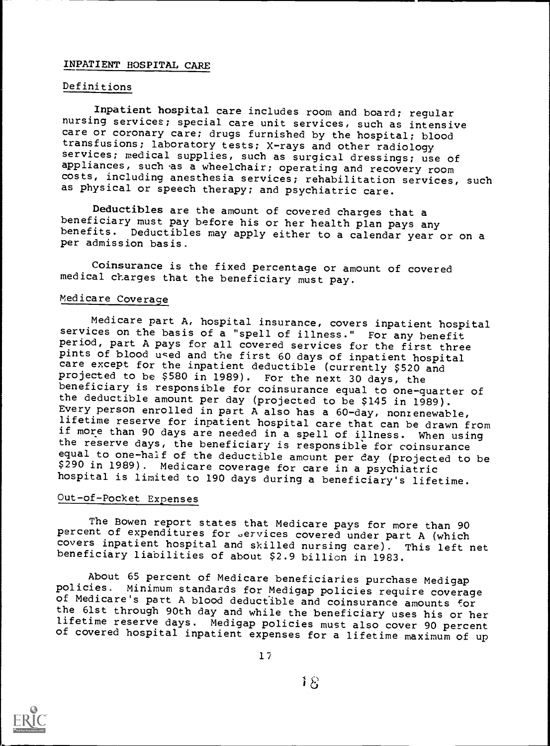## INPATIENT HOSPITAL CARE

#### Definitions

Inpatient hospital care includes room and board; regular nursing services; special care unit services, such as intensive care or coronary care; drugs furnished by the hospital; blood transfusions; laboratory tests; X-rays and other radiology services; medical supplies, such as surgical dressings; use of appliances, such as a wheelchair; operating and recovery room costs, including anesthesia services; rehabilitation services, such as physical or speech therapy; and psychiatric care.

Deductibles are the amount of covered charges that a beneficiary must pay before his or her health plan pays any benefits. Deductibles may apply either to a calendar year or on a per admission basis.

Coinsurance is the fixed percentage or amount of covered medical charges that the beneficiary must pay.

#### Medicare Coverage

Medicare part A, hospital insurance, covers inpatient hospital services on the basis of a "spell of illness." For any benefit period, part A pays for all covered services for the first three care except for the inpatient deductible (currently \$520 and projected to be \$580 in 1989). For the next 30 days, the beneficiary is responsible for coinsurance equal to one-quarter of the deductible amount per day (projected to be \$145 in 1989). Every person enrolled in part A also has a 60-day, nonzenewable, lifetime reserve for inpatient hospital care that can be drawn from if more than 90 days are needed in a spell of illness. When using the reserve days, the beneficiary is responsible for coinsurance equal to one-half of the deductible amcunt per day (projected to be \$290 in 1989). Medicare coverage for care in a psychiatric hospital is limited to 190 days during a beneficiary's lifetime.

## Out-of-Pocket Expenses

The Bowen report states that Medicare pays for more than 90 percent of expenditures for services covered under part A (which covers inpatient hospital and skilled nursing care). This left net beneficiary liabilities of about \$2.9 billion in 1983.

About 65 percent of Medicare beneficiaries purchase Medigap policies. Minimum standards for Medigap policies require coverage of Medicare's part A blood deductible and coinsurance amounts for the 61st through 90th day and while the beneficiary uses his or her<br>lifetime reserve days. Medigap policies must also cover 90 percent of covered hospital inpatient expenses for a lifetime maximum of up

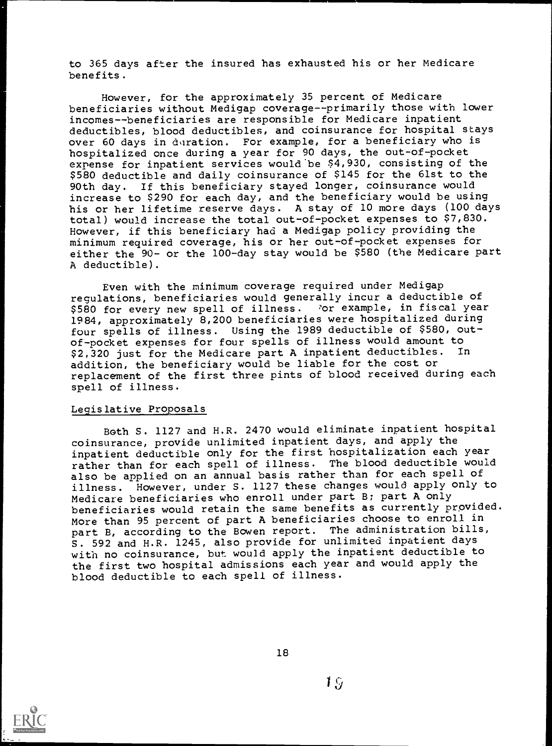to 365 days after the insured has exhausted his or her Medicare benefits.

However, for the approximately 35 percent of Medicare beneficiaries without Medigap coverage--primarily those with lower incomes--beneficiaries are responsible for Medicare inpatient deductibles, blood deductibles, and coinsurance for hospital stays over 60 days in duration. For example, for a beneficiary who is hospitalized once during a year for 90 days, the out-of-pocket expense for inpatient services would'be \$4,930, consisting of the \$580 deductible and daily coinsurance of \$145 for the 61st to the 90th day. If this beneficiary stayed longer, coinsurance would increase to \$290 for each day, and the beneficiary would be using his or her lifetime reserve days. A stay of 10 more days (100 days total) would increase the total out-of-pocket expenses to \$7,830. However, if this beneficiary had a Medigap policy providing the minimum required coverage, his or her out-of-pocket expenses for either the 90- or the 100-day stay would be \$580 (the Medicare part A deductible).

Even with the minimum coverage required under Medigap regulations, beneficiaries would generally incur a deductible of \$580 for every new spell of illness. For example, in fiscal year 1984, approximately 8,200 beneficiaries were hospitalized during four spells of illness. Using the 1989 deductible of \$580, outof-pocket expenses for four spells of illness would amount to<br>\$2,320 just for the Medicare part A inpatient deductibles. In \$2,320 just for the Medicare part A inpatient deductibles. addition, the beneficiary would be liable for the cost or replacement of the first three pints of blood received during each spell of illness.

#### Legislative Proposals

Both S. 1127 and H.R. 2470 would eliminate inpatient hospital coinsurance, provide unlimited inpatient days, and apply the inpatient deductible only for the first hospitalization each year rather than for each spell of illness. The blood deductible would also be applied on an annual basis rather than for each spell of illness. However, under S. 1127 these changes would apply only to Medicare beneficiaries who enroll under part B; part A only beneficiaries would retain the same benefits as currently provided. More than 95 percent of part A beneficiaries choose to enroll in part B, according to the Bowen report. The administration bills, S. 592 and H.R. 1245, also provide for unlimited inpatient days with no coinsurance, but would apply the inpatient deductible to the first two hospital admissions each year and would apply the blood deductible to each spell of illness.

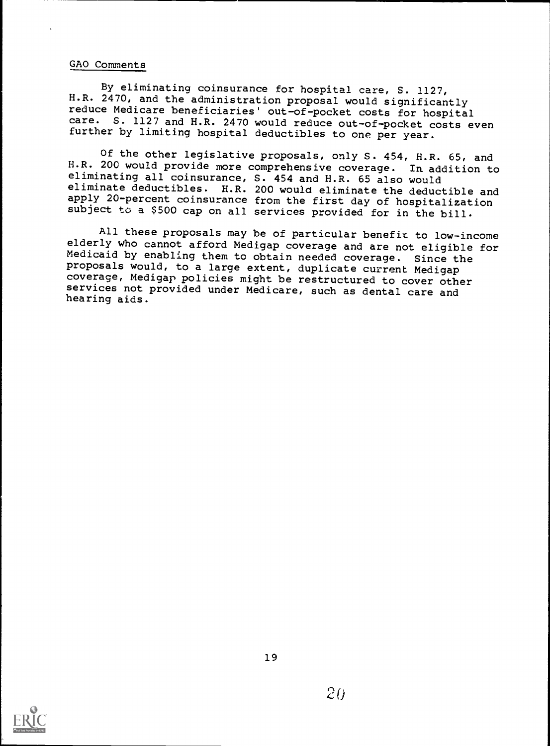#### GAO Comments

By eliminating coinsurance for hospital care, S. 1127, H.R. 2470, and the administration proposal would significantly reduce Medicare beneficiaries' out-of-pocket costs for hospital care. S. 1127 and H.R. 2470 would reduce out-of-pocket costs even further by limiting hospital deductibles to one per year.

Of the other legislative proposals, only S. 454, H.R. 65, and H.R. 200 would provide more comprehensive coverage. In addition to eliminating all coinsurance, S. 454 and H.R. 65 also would eliminate deductibles. H.R. 200 would eliminate the deductible and apply 20-percent coinsurance from the first day of hospitalization subject to a \$500 cap on all services provided for in the bill.

All these proposals may be of particular benefit to low-income elderly who cannot afford Medigap coverage and are not eligible for Medicaid by enabling them to obtain needed coverage. Since the proposals would, to a large extent, duplicate current Medigap coverage, Medigap policies might be restructured to cover other services not provided under Medicare, such as dental care and hearing aids.

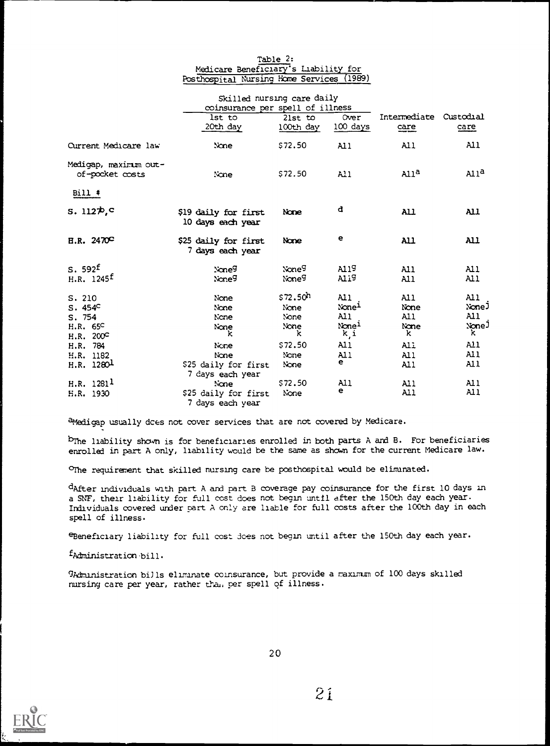#### Table 2: Medicare Beneficiary's Liability for Posthospital Nursing Home Services (1989)

|                                                                | Skilled nursing care daily<br>coinsurance per spell of illness |                                                   |                                                                         |                                                       |                                                                    |
|----------------------------------------------------------------|----------------------------------------------------------------|---------------------------------------------------|-------------------------------------------------------------------------|-------------------------------------------------------|--------------------------------------------------------------------|
|                                                                | lst to<br>20th day                                             | $21st$ to<br>100th day                            | Over<br>$100$ days                                                      | Intermediate Custodial<br><u>care</u>                 | <u>care</u>                                                        |
| Current Medicare law                                           | None.                                                          | \$72.50                                           | AI1                                                                     | A11                                                   | AI <sub>1</sub>                                                    |
| Medigap, maximum out-<br>of-pocket costs                       | None                                                           | \$72.50                                           | A11                                                                     | Al1 <sup>a</sup>                                      | Al1 <sup>a</sup>                                                   |
| $Bill$ #                                                       |                                                                |                                                   |                                                                         |                                                       |                                                                    |
| $s. 112\pi c$                                                  | \$19 daily for first<br>10 days each year                      | None                                              | d                                                                       | <b>All</b>                                            | <b>All</b>                                                         |
| H.R. 2470 <sup>C</sup>                                         | \$25 daily for first<br>7 days each year                       | None                                              | е                                                                       | <b>All</b>                                            | All                                                                |
| S.592 <sup>f</sup><br>H.R. $1245^{\text{f}}$                   | None <sup>g</sup><br>None <sup>g</sup>                         | None <sup>g</sup><br>Noneg                        | A119<br><b>Alig</b>                                                     | AI1<br>A11                                            | A11<br>A11                                                         |
| S. 210<br>S.454 <sup>c</sup><br>S.754<br>H.R. 65C<br>H.R. 200° | None<br>None<br>None<br>None<br>k                              | \$72.50 <sup>h</sup><br>None<br>None<br>None<br>k | AI1<br>None <sup>1</sup><br>AI <sub>1</sub><br>None <sup>1</sup><br>k,i | A11<br>None<br>All<br>None<br>k.                      | AI1<br>None J<br>$\mathbf{A} \mathbf{1} \mathbf{1}$<br>None J<br>k |
| H.R. 784<br>H.R. 1182<br>H.R. 1280 <sup>1</sup>                | None<br>None<br>\$25 daily for first<br>7 days each year       | \$72.50<br>None<br>None                           | AI <sub>1</sub><br>AI <sub>1</sub><br>e                                 | <b>All</b><br>$\lambda$ 11<br>A11                     | A11<br>A11<br>A11                                                  |
| H.R. 1281 <sup>1</sup><br>H.R. 1930                            | None<br>\$25 daily for first<br>7 days each vear               | \$72.50<br>None                                   | A11<br>е                                                                | $\mathbf{A} \mathbf{1} \mathbf{1}$<br>AI <sub>1</sub> | AI1<br>AI <sub>1</sub>                                             |

a Medigap usually dces not cover services that are not covered by Medicare.

brhe liability shown is for beneficiaries enrolled in both parts A and B. For beneficiaries enrolled in part A only, liability would be the same as shown for the current Medicare law.

°The requirement that skilled nursing care be posthcspital would be eliminated.

dAfter individuals with part A and part B coverage pay coinsurance for the first 10 days in a SNF, their liability for full cost does not begin until after the 150th day each year. Individuals covered under part A only are liable for full costs after the 100th day in each spell of illness.

eBeneficiary liability for full cost does not begin until after the 150th day each year.

 $f$ Administration bill.

gAdmardstraticn bills eliminate coinsurance, but provide a maximum of 100 days skilled nursing care per year, rather tha, per spell of illness.

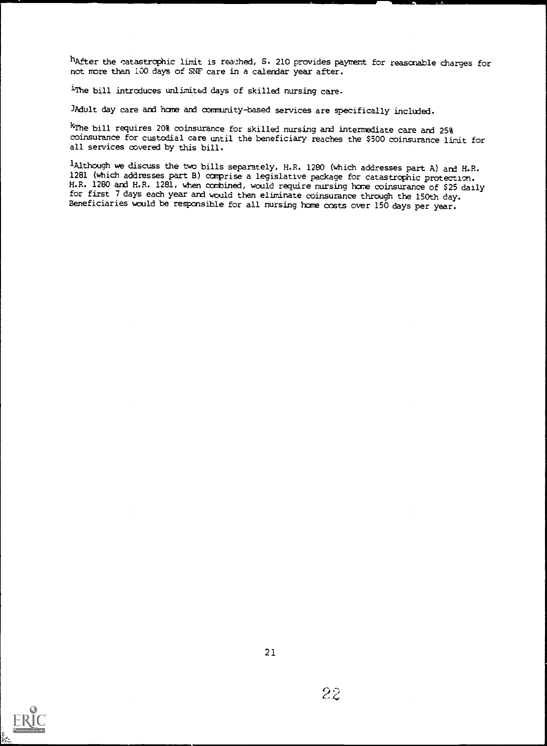hafter the catastrophic limit is reached, S. 210 provides payment for reasonable charges for not more than 100 days of SNF care in a calendar year after.

<sup>1</sup>The bill introduces unlimited days of skilled nursing care.

JAdult day care and home and community-based services are specifically included.

kThe bill requires 20% coinsurance for skilled nursing and intermediate care and 25% coinsurance for custodial care until the beneficiary reaches the \$500 coinsurance lirit for all services covered by this bill.

lAlthcugh we discuss the two bills separately, H.R. 1280 (which addresses part A) and H.R. 1281 (which addresses part B) comprise a legislative package for catastrophic protection. H.R. 1280 and H.R. 1281, when combined, would require nursing home coinsurance of \$25 daily for first 7 days each year and would then eliminate coinsurance through the 150th day. Beneficiaries would be responsible for all nursing home costs over 150 days per year.

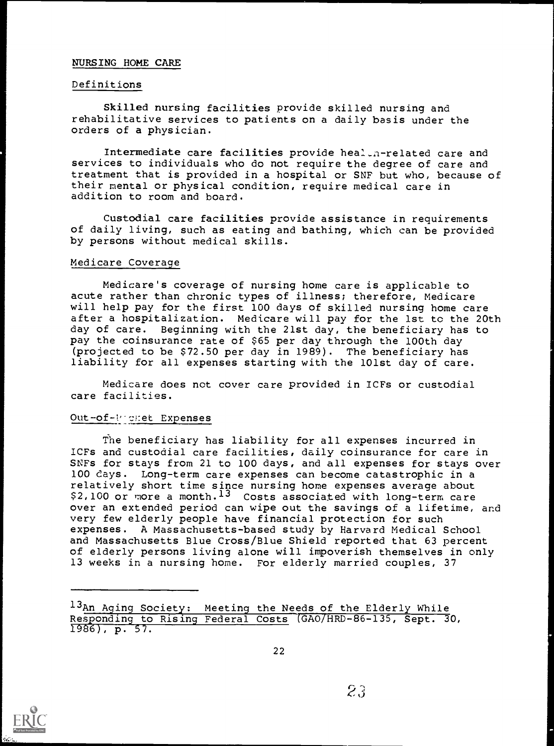#### NURSING HOME CARE

#### Definitions

Skilled nursing facilities provide skilled nursing and rehabilitative services to patients on a daily basis under the orders of a physician.

Intermediate care facilities provide heal.n-related care and services to individuals who do not require the degree of care and treatment that is provided in a hospital or SNF but who, because of their mental or physical condition, require medical care in addition to room and board.

Custodial care facilities provide assistance in requirements of daily living, such as eating and bathing, which can be provided by persons without medical skills.

#### Medicare Coverage

Medicare's coverage of nursing home care is applicable to acute rather than chronic types of illness; therefore, Medicare will help pay for the first 100 days of skilled nursing home care after a hospitalization. Medicare will pay for the 1st to the 20th day of care. Beginning with the 21st day, the beneficiary has to pay the coinsurance rate of \$65 per day through the 100th day (projected to be \$72.50 per day in 1989). The beneficiary has liability for all expenses starting with the 101st day of care.

Medicare does not cover care provided in ICFs or custodial care facilities.

#### Out-of-Promet Expenses

The beneficiary has liability for all expenses incurred in ICFs and custodial care facilities, daily coinsurance for care in SNFs for stays from 21 to 100 days, and all expenses for stays over 100 days. Long-term care expenses can become catastrophic in a relatively short time since nursing home expenses average about \$2,100 or more a month.<sup>13</sup> Costs associated with long-term care over an extended period can wipe out the savings of a lifetime, and very few elderly people have financial protection for such expenses. A Massachusetts-based study by Harvard Medical School and Massachusetts Blue Cross/Blue Shield reported that 63 percent of elderly persons living alone will impoverish themselves in only 13 weeks in a nursing home. For elderly married couples, 37

13An Aging Society: Meeting the Needs of the Elderly While Responding to Rising Federal Costs (GAO/HRD-86-135, Sept. 30, 1986), p. 57.

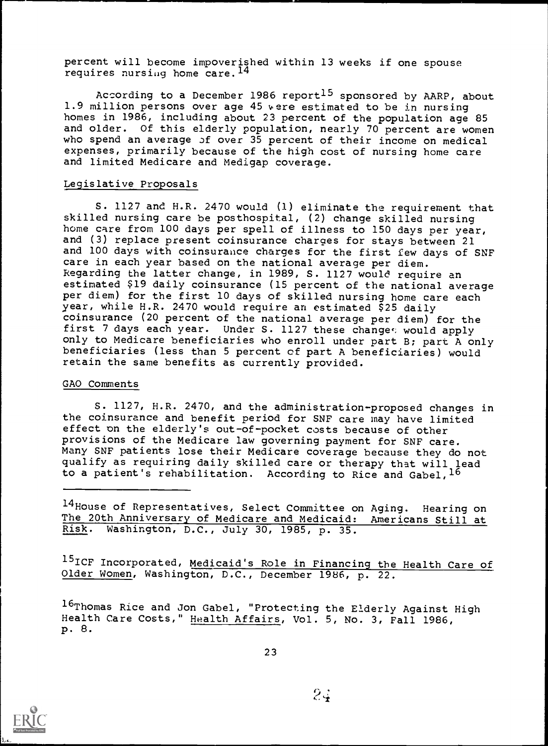percent will become impoverished within 13 weeks if one spouse requires nursing home care.<sup>14</sup>

According to a December 1986 report<sup>15</sup> sponsored by AARP, about 1.9 million persons over age 45 were estimated to be in nursing homes in 1986, including about 23 percent of the population age 85 and older. Of this elderly population, nearly 70 percent are women who spend an average of over 35 percent of their income on medical expenses, primarily because of the high cost of nursing home care and limited Medicare and Medigap coverage.

#### Legislative Proposals

S. 1127 and H.R. 2470 would (1) eliminate the requirement that skilled nursing care be posthospital, (2) change skilled nursing home care from 100 days per spell of illness to 150 days per year, and (3) replace present coinsurance charges for stays between 21 and 100 days with coinsurance charges for the first few days of SNF care in each year based on the national average per diem. Regarding the latter change, in 1989, S. 1127 would require an estimated \$19 daily coinsurance (15 percent of the national average per diem) for the first 10 days of skilled nursing home care each year, while H.R. 2470 would require an estimated \$25 daily coinsurance (20 percent of the national average per diem) for the first 7 days each year. Under S. 1127 these changes would apply only to Medicare beneficiaries who enroll under part B; part A only beneficiaries (less than 5 percent of part A beneficiaries) would retain the same benefits as currently provided.

#### GAO Comments

S. 1127, H.R. 2470, and the administration-proposed changes in the coinsurance and benefit period for SNF care may have limited effect on the elderly's out-of-pocket costs because of other provisions of the Medicare law governing payment for SNF care. Many SNF patients lose their Medicare coverage because they do not qualify as requiring daily skilled care or therapy that will lead to a patient's rehabilitation. According to Rice and Gabel,  $16$ 

14 House of Representatives, Select Committee on Aging. Hearing on The 20th Anniversary of Medicare and Medicaid: Americans Still at Risk. Washington, D.C., July 30, 1985, p. 35.

15ICF Incorporated, Medicaid's Role in Financing the Health Care of Older Women, Washington, D.C., December 1986, p. 22.

16Thomas Rice and Jon Gabel, "Protecting the Elderly Against High Health Care Costs," Health Affairs, Vol. 5, No. 3, Fall 1986, p. 8.

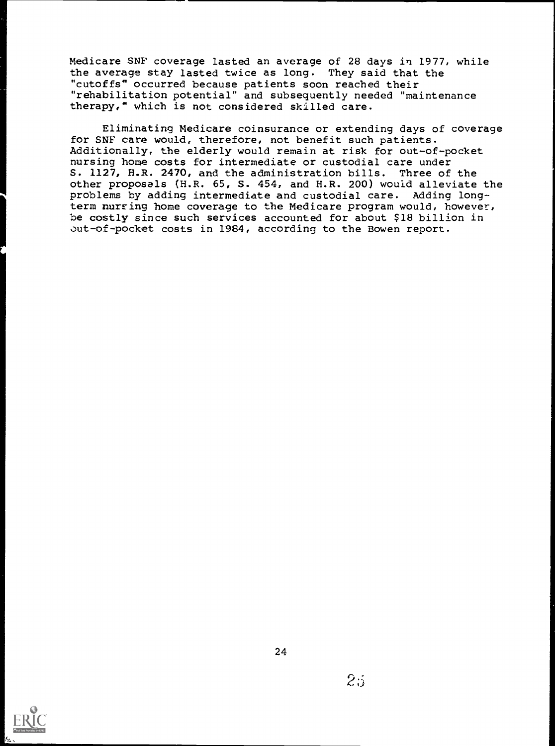Medicare SNF coverage lasted an average of 28 days in 1977, while the average stay lasted twice as long. They said that the "cutoffs" occurred because patients soon reached their "rehabilitation potential" and subsequently needed "maintenance therapy," which is not considered skilled care.

Eliminating Medicare coinsurance or extending days of coverage for SNF care would, therefore, not benefit such patients. Additionally, the elderly would remain at risk for out-of-pocket nursing home costs for intermediate or custodial care under S. 1127, H.R. 2470, and the administration bills. Three of the other proposals (H.R. 65, S. 454, and H.R. 200) would alleviate the problems by adding intermediate and custodial care. Adding longterm nursing home coverage to the Medicare program would, however, be costly since such services accounted for about \$18 billion in out-of-pocket costs in 1984, according to the Bowen report.

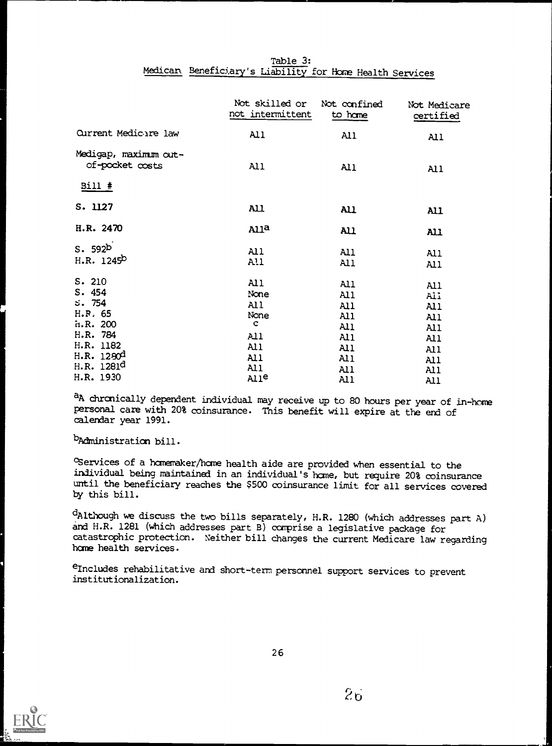| Table 3:                                                 |  |
|----------------------------------------------------------|--|
| Medican Beneficiary's Liability for Home Health Services |  |

|                                                                         | Not skilled or<br>not intermittent                      | Not confined<br>to hame                       | Not Medicare<br>certified                       |
|-------------------------------------------------------------------------|---------------------------------------------------------|-----------------------------------------------|-------------------------------------------------|
| Current Medicare law                                                    | A11                                                     | AI1                                           | A11                                             |
| Medigap, maximum out-<br>of-pocket costs                                | A11                                                     | AI1                                           | AI1                                             |
| $Bill$ #                                                                |                                                         |                                               |                                                 |
| S. 1127                                                                 | AL                                                      | AL                                            | All                                             |
| H.R. 2470                                                               | Alla                                                    | AL                                            | <b>All</b>                                      |
| S.592 <sup>b</sup><br>H.R. 1245 <sup>b</sup>                            | A11<br>A!1                                              | AI1<br>AI1                                    | A11<br>A11                                      |
| S. 210<br>S.454<br>5.754<br>H.R. 65<br>n.R.200<br>H.R. 784<br>H.R. 1182 | AI1<br>None<br>A11<br>None<br>$\mathbf C$<br>A11<br>AI1 | AL1<br>Al1<br>A11<br>Al1<br>AI1<br>All<br>A11 | A11<br>All<br>A11<br>A11<br>A11<br>A11          |
| H.R. 1290 <sup>d</sup><br>H.R. 1281d<br>H.R. 1930                       | A11<br>AI1<br>Alle                                      | AI <sub>1</sub><br>AI <sub>1</sub><br>A11     | A11<br>A11<br>AI <sub>1</sub><br>$\mathbf{A}11$ |

a<sub>A</sub> chronically dependent individual may receive up to 80 hours per year of in-home personal care with 20% coinsurance. This benefit will expire at the end of calendar year 1991.

b<sub>Administration bill.</sub>

cservices of a hcrnemaker/bane health aide are provided when essential to the individual being maintained in an individual's home, but require 20% coinsurance until the beneficiary reaches the \$500 coinsurance limit for all services covered by this bill.

dAlthough we discuss the two bills separately, H.R. 1280 (which addresses part A) and H.R. 1281 (which addresses part B) comprise a legislative package for catastrophic protection. Neither bill changes the current Medicare law regarding home health services.

eIncludes rehabilitative and short-term personnel support services to prevent institutionalization.

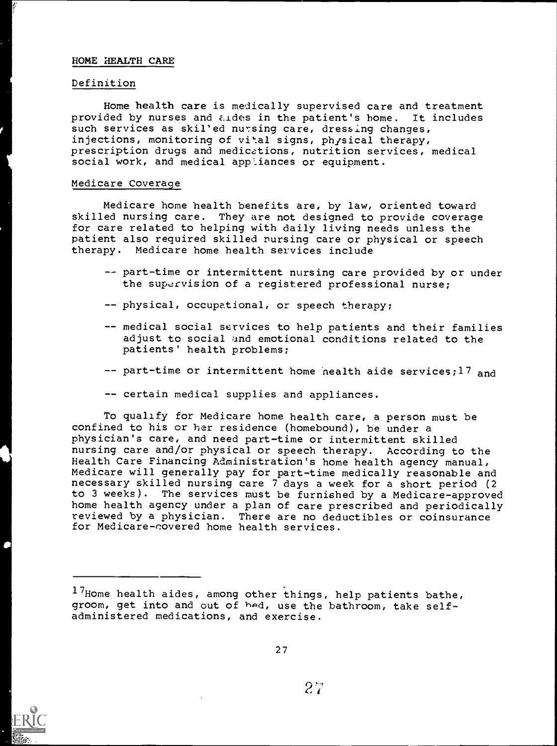#### HOME HEALTH CARE

#### Definition

Home health care is medically supervised care and treatment provided by nurses and aldes in the patient's home. It includes such services as skil'ed nursing care, dressing changes, injections, monitoring of vital signs, physical therapy, prescription drugs and medications, nutrition services, medical social work, and medical appliances or equipment.

#### Medicare Coverage

Medicare home health benefits are, by law, oriented toward skilled nursing care. They are not designed to provide coverage for care related to helping with daily living needs unless the patient also required skilled nursing care or physical or speech therapy. Medicare home health services include

- -- part-time or intermittent nursing care provided by or under the supervision of a registered professional nurse;
- -- physical, occupational, or speech therapy;
- -- medical social services to help patients and their families adjust to social and emotional conditions related to the patients' health problems;
- $--$  part-time or intermittent home nealth aide services; 17 and
- -- certain medical supplies and appliances.

To qualify for Medicare home health care, a person must be confined to his or her residence (homebound), be under a physician's care, and need part-time or intermittent skilled nursing care and/or physical or speech therapy. According to the Health Care Financing Administration's home health agency manual, Medicare will generally pay for part-time medically reasonable and necessary skilled nursing care 7 days a week for a short period (2 to 3 weeks). The services must be furnished by a Medicare-approved home health agency under a plan of care prescribed and periodically reviewed by a physician. There are no deductibles or coinsurance for Medicare-covered home health services.



<sup>17</sup>Home health aides, among other things, help patients bathe, groom, get into and out of hed, use the bathroom, take selfadministered medications, and exercise.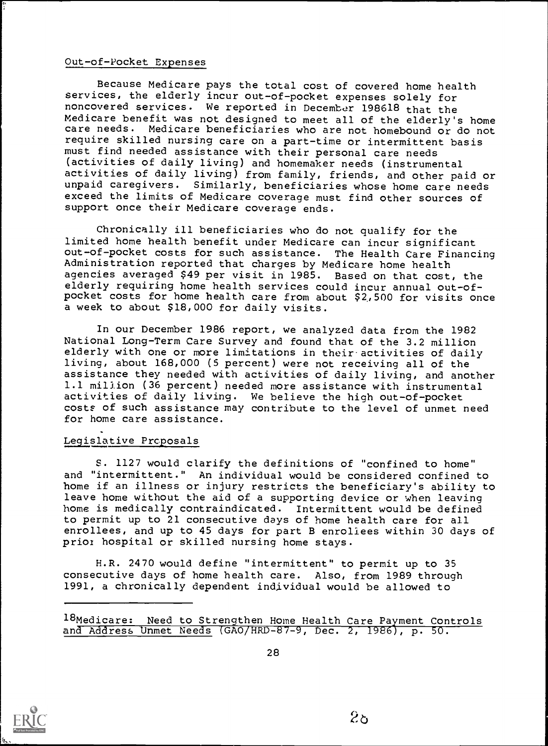#### Out-of-Pocket Expenses

Because Medicare pays the total cost of covered home health services, the elderly incur out-of-pocket expenses solely for noncovered services. We reported in December 198618 that the Medicare benefit was not designed to meet all of the elderly's home care needs. Medicare beneficiaries who are not homebound or do not require skilled nursing care on a part-time or intermittent basis must find needed assistance with their personal care needs (activities of daily living) and homemaker needs (instrumental activities of daily living) from family, friends, and other paid or unpaid caregivers. Similarly, beneficiaries whose home care needs exceed the limits of Medicare coverage must find other sources of support once their Medicare coverage ends.

Chronically ill beneficiaries who do not qualify for the limited home health benefit under Medicare can incur significant out-of-pocket costs for such assistance. The Health Care Financing Administration reported that charges by Medicare home health agencies averaged \$49 per visit in 1985. Based on that cost, the elderly requiring home health services could incur annual out-ofpocket costs for home health care from about \$2,,500 for visits once a week to about \$18,000 for daily visits.

In our December 1986 report, we analyzed data from the 1982 National Long-Term Care Survey and found that of the 3.2 million elderly with one or more limitations in their-activities of daily living, about 168,000 (5 percent) were not receiving all of the assistance they needed with activities of daily living, and another 1.1 million (36 percent) needed more assistance with instrumental activities of daily living. We believe the high out-of-pocket costs of such assistance may contribute to the level of unmet need for home care assistance.

#### Legislative Proposals

S. 1127 would clarify the definitions of "confined to home" and "intermittent." An individual would be considered confined to home if an illness or injury restricts the beneficiary's ability to leave home without the aid of a supporting device or when leaving home is medically contraindicated. Intermittent would be defined to permit up to 21 consecutive days of home health care for all enrollees, and up to 45 days for part B enrollees within 30 days of prior hospital or skilled nursing home stays.

H.R. 2470 would define "intermittent" to permit up to 35 consecutive days of home health care. Also, from 1989 through 1991, a chronically dependent individual would be allowed to

18Medicare: Need to Strengthen Home Health Care Payment Controls and Address Unmet Needs (GAO/HRD-87-9, Dec. 2, 1986), p. 50.

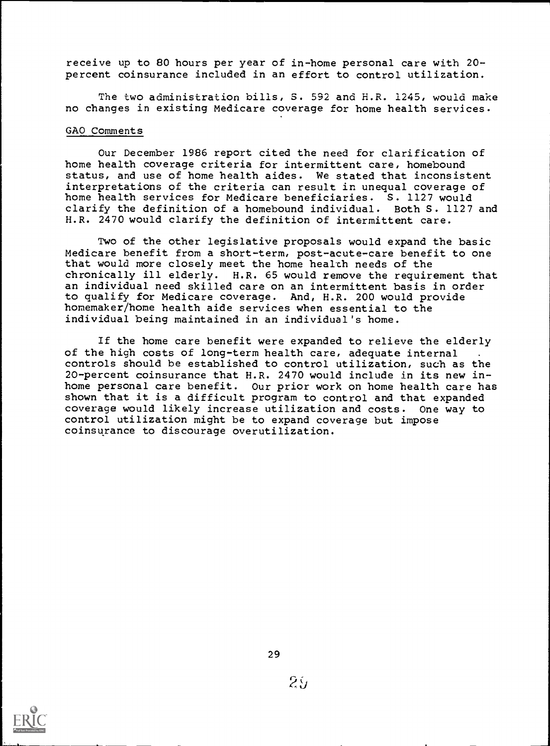receive up to 80 hours per year of in-home personal care with 20 percent coinsurance included in an effort to control utilization.

The two administration bills, S. 592 and H.R. 1245, would make no changes in existing Medicare coverage for home health services.

#### GAO Comments

Our December 1986 report cited the need for clarification of home health coverage criteria for intermittent care, homebound status, and use of home health aides. We stated that inconsistent interpretations of the criteria can result in unequal coverage of home health services for Medicare beneficiaries. S. 1127 would clarify the definition of a homebound individual. Both S. 1127 and H.R. 2470 would clarify the definition of intermittent care.

Two of the other legislative proposals would expand the basic Medicare benefit from a short-term, post-acute-care benefit to one that would more closely meet the home health needs of the chronically ill elderly. H.R. 65 would remove the requirement that an individual need skilled care on an intermittent basis in order to qualify for Medicare coverage. And, H.R. 200 would provide homemaker/home health aide services when essential to the individual being maintained in an individual's home.

If the home care benefit were expanded to relieve the elderly of the high costs of long-term health care, adequate internal controls should be established to control utilization, such as the 20-percent coinsurance that H.R. 2470 would include in its new inhome personal care benefit. Our prior work on home health care has shown that it is a difficult program to control and that expanded coverage would likely increase utilization and costs. One way to control utilization might be to expand coverage but impose coinsurance to discourage overutilization.

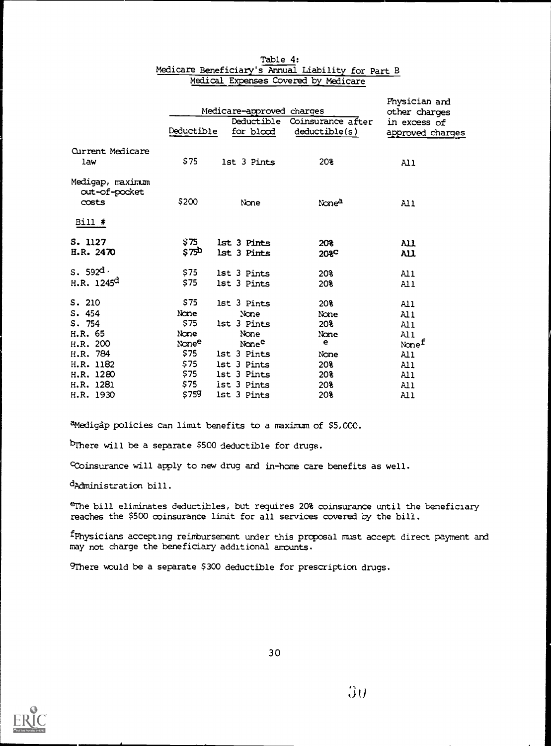|                                                     |            | Medicare-approved charges |                                    | Physician and<br>other charges   |  |  |
|-----------------------------------------------------|------------|---------------------------|------------------------------------|----------------------------------|--|--|
|                                                     | Deductible | Deductible<br>for blood   | Coinsurance after<br>deductible(s) | in excess of<br>approved charges |  |  |
| <b>Current Medicare</b><br>law                      | \$75       | 1st 3 Pints               | 20%                                | All                              |  |  |
| Medigap, maximum<br>out-of-pocket<br>costs<br>Bill# | \$200      | None                      | None <sup>a</sup>                  | A11                              |  |  |
| S. 1127                                             | \$75       | 1st 3 Pints               | 208                                | ALI                              |  |  |
| H.R. 2470                                           | \$750      | lst 3 Pints               | 208 <sup>C</sup>                   | All                              |  |  |
| s.592 <sup>d</sup>                                  | \$75       | 1st 3 Pints               | 20%                                | All                              |  |  |
| H.R. $1245^d$                                       | \$75       | 1st 3 Pints               | 20%                                | Al 1                             |  |  |
| S. 210                                              | \$75       | 1st 3 Pints               | 20%                                | All                              |  |  |
| S.454                                               | None       | None                      | None                               | A11                              |  |  |
| S.754                                               | \$75       | 1st 3 Pints               | 208                                | Al 1                             |  |  |
| H.R. 65                                             | None       | None                      | None                               | All                              |  |  |
| H.R. 200                                            | Nonee      | None <sup>e</sup>         | е                                  | Nonef                            |  |  |
| H.R. 784                                            | \$75       | 1st 3 Pints               | None                               | A11                              |  |  |
| H.R. 1182                                           | \$75       | 1st 3 Pints               | 20%                                | All                              |  |  |
| H.R. 1280                                           | \$75       | 1st 3 Pints               | 20%                                | All                              |  |  |
| H.R. 1281                                           | \$75       | ist 3 Pints               | 208                                | All                              |  |  |
| H.R. 1930                                           | \$759      | 1st 3 Pints               | 208                                | All                              |  |  |

#### Table 4: Medicare Beneficiary's Annual Liability for Part B Medical Expenses Covered by Medicare

aMedigap policies can limit benefits to a maximum of \$5,000.

bThere will be a separate \$500 deductible for drugs.

Coinsurance will apply to new drug and in-home care benefits as well.

dAdministration bill.

erhe bill eliminates deductibles, but requires 20% coinsurance until the beneficiary reaches the \$500 coinsurance limit for all services covered by the bill.

fPhysicians accepting reimbursement under this proposal must accept direct payment and may not charge the beneficiary additional amounts.

9There would be a separate \$300 deductible for prescription drugs.

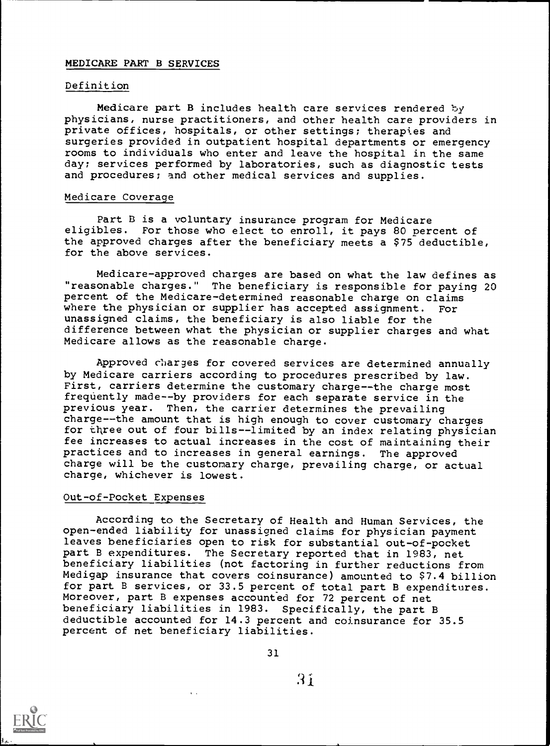## MEDICARE PART B SERVICES

#### Definition

Medicare part B includes health care services rendered by physicians, nurse practitioners, and other health care providers in private offices, hospitals, or other settings; therapies and surgeries provided in outpatient hospital departments or emergency rooms to individuals who enter and leave the hospital in the same day; services performed by laboratories, such as diagnostic tests and procedures; and other medical services and supplies.

#### Medicare Coverage

Part B is a voluntary insurance program for Medicare eligibles. For those who elect to enroll, it pays 80 percent of the approved charges after the beneficiary meets a \$75 deductible, for the above services.

Medicare-approved charges are based on what the law defines as "reasonable charges." The beneficiary is responsible for paying 20 percent of the Medicare-determined reasonable charge on claims where the physician or supplier has accepted assignment. For unassigned claims, the beneficiary is also liable for the difference between what the physician or supplier charges and what Medicare allows as the reasonable charge.

Approved charges for covered services are determined annually by Medicare carriers according to procedures prescribed by law. First, carriers determine the customary charge--the charge most frequently made--by providers for each separate service in the previous year. Then, the carrier determines the prevailing charge--the amount that is high enough to cover customary charges for three out of four bills--limited by an index relating physician fee increases to actual increases in the cost of maintaining their practices and to increases in general earnings. The approved charge will be the customary charge, prevailing charge, or actual charge, whichever is lowest.

#### Out-of-Pocket Expenses

According to the Secretary of Health and Human Services, the open-ended liability for unassigned claims for physician payment leaves beneficiaries open to risk for substantial out-of-pocket part B expenditures. The Secretary reported that in 1983, net beneficiary liabilities (not factoring in further reductions from Medigap insurance that covers coinsurance) amounted to \$7.4 billion for part B services, or 33.5 percent of total part B expenditures. Moreover, part B expenses accounted for 72 percent of net beneficiary liabilities in 1983. Specifically, the part B deductible accounted for 14.3 percent and coinsurance for 35.5 percent of net beneficiary liabilities.



 $\bar{A}$  ,  $\bar{A}$ 

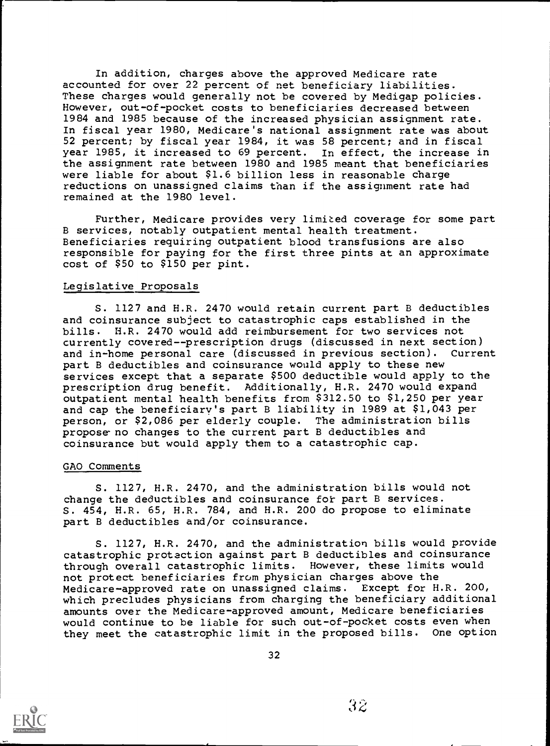In addition, charges above the approved Medicare rate accounted for over 22 percent of net beneficiary liabilities. These charges would generally not be covered by Medigap policies. However, out-of-pocket costs to beneficiaries decreased between 1984 and 1985 because of the increased physician assignment rate. In fiscal year 1980, Medicare's national assignment rate was about 52 percent; by fiscal year 1984, it was 58 percent; and in fiscal year 1985, it increased to 69 percent. In effect, the increase in the assignment rate between 1980 and 1985 meant that beneficiaries were liable for about \$1.6 billion less in reasonable charge reductions on unassigned claims than if the assignment rate had remained at the 1980 level.

Further, Medicare provides very limited coverage for some part B services, notably outpatient mental health treatment. Beneficiaries requiring outpatient blood transfusions are also responsible for paying for the first three pints at an approximate cost of \$50 to \$150 per pint.

#### Legislative Proposals

S. 1127 and H.R. 2470 would retain current part B deductibles and coinsurance subject to catastrophic caps established in the bills. H.R. 2470 would add reimbursement for two services not currently covered--prescription drugs (discussed in next section) and in-home personal care (discussed in previous section). part B deductibles and coinsurance would apply to these new services except that a separate \$500 deductible would apply to the prescription drug benefit. Additionally, H.R. 2470 would expand outpatient mental health benefits from \$312.50 to \$1,250 per year and cap the beneficiary's part B liability in 1989 at \$1,043 per person, or \$2,086 per elderly couple. The administration bills propose-no changes to the current part B deductibles and coinsurance but would apply them to a catastrophic cap.

#### GAO Comments

S. 1127, H.R. 2470, and the administration bills would not change the deductibles and coinsurance fot part B services. S. 454, H.R. 65, H.R. 784, and H.R. 200 do propose to eliminate part B deductibles and/or coinsurance.

S. 1127, H.R. 2470, and the administration bills would provide catastrophic protection against part B deductibles and coinsurance through overall catastrophic limits. However, these limits would not protect beneficiaries from physician charges above the Medicare-approved rate on unassigned claims. Except for H.R. 200, which precludes physicians from charging the beneficiary additional amounts over the Medicare-approved amount, Medicare beneficiaries would continue to be liable for such out-of-pocket costs even when they meet the catastrophic limit in the proposed bills. One option

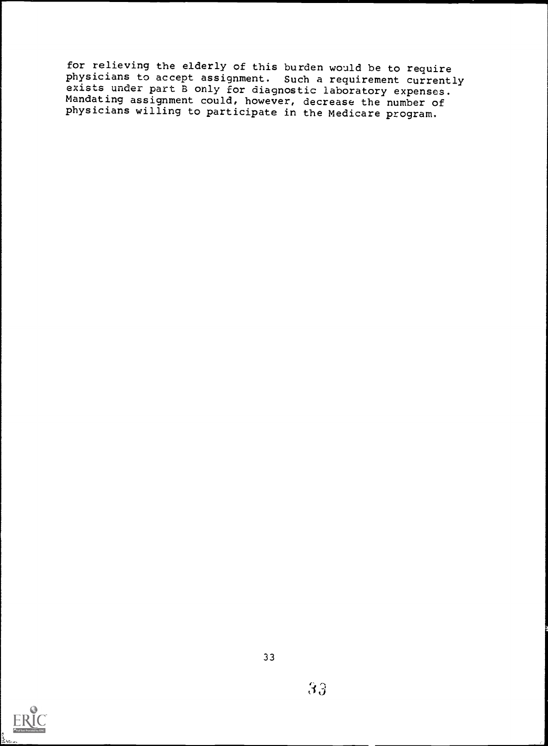for relieving the elderly of this burden would be to require physicians to accept assignment. Such a requirement currently exists under part B only for diagnostic laboratory expenses.  $\overline{\phantom{a}}$ Mandating assignment could, however, decrease the number of physicians willing to participate in the Medicare program.

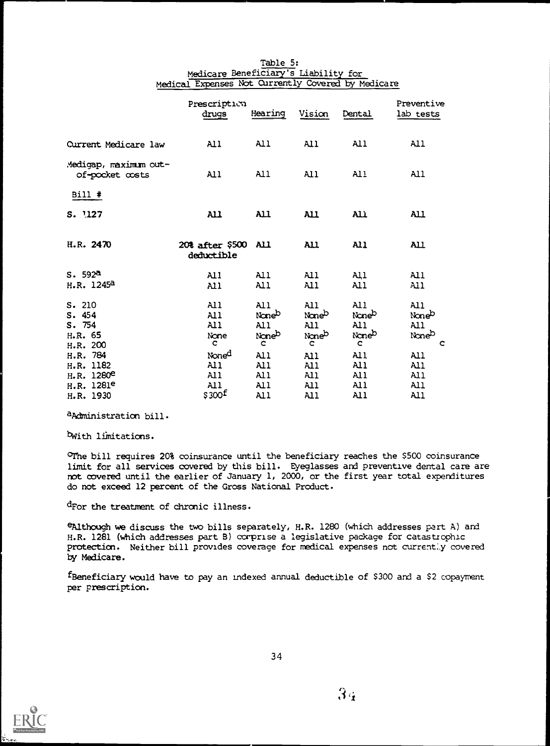|                                                                                        | Prescription<br>drugs                                         | Hearing                                     | Vision                            | Dental                            | Preventive<br>lab tests                  |
|----------------------------------------------------------------------------------------|---------------------------------------------------------------|---------------------------------------------|-----------------------------------|-----------------------------------|------------------------------------------|
| Current Medicare law                                                                   | AI <sub>1</sub>                                               | A11                                         | A11                               | A11                               | A11                                      |
| Medigap, maximum out-<br>of-pocket costs                                               | All                                                           | A11                                         | A11                               | AI <sub>1</sub>                   | All                                      |
| Bill #                                                                                 |                                                               |                                             |                                   |                                   |                                          |
| S. 1127                                                                                | A11                                                           | $\lambda$ ll                                | AL                                | ALL                               | <b>All</b>                               |
| H.R. 2470                                                                              | 20% after \$500 All<br>deductible                             |                                             | <b>All</b>                        | $\mathbf{A}$                      | AL                                       |
| S. 592 <sup>a</sup><br>H.R. 1245 <sup>d</sup>                                          | AII<br>A11                                                    | Al 1<br>Al 1                                | A11<br>All                        | A11<br>All                        | All<br>A11                               |
| S. 210<br>S.454<br>S.754<br>H.R. 65<br>H.R. 200                                        | All<br>All<br>All.<br>None<br>C.                              | All<br>Noneb<br>All<br>Noneb<br>c           | A11<br>Noneb<br>A11<br>Noneb<br>c | AI1<br>Noneb<br>A11<br>Noneb<br>c | All<br>Noneb<br>A11<br>Noneb<br>c        |
| H.R. 784<br>H.R. 1182<br>H.R. 1280 <sup>e</sup><br>H.R. 1281 <sup>e</sup><br>H.R. 1930 | Noned<br>A11<br>All.<br>AI <sub>1</sub><br>\$300 <sup>f</sup> | AI <sub>1</sub><br>A11<br>A11<br>A11<br>A11 | A11<br>A11<br>A11<br>A11<br>A11   | Al l<br>All<br>All<br>A11<br>A11  | A11<br>A11<br>All<br>$\mathbf{A}$<br>A11 |

#### Table 5: Medicare Beneficiary's Liability for Medical Expenses Not Currently Covered by Medicare

aAdministration bill.

Nith limitations.

 $O$ The bill requires 20% coinsurance until the beneficiary reaches the \$500 coinsurance limit for all services covered by this bill. Eyeglasses and preventive dental care are not covered until the earlier of January 1, 2000, or the first year total expenditures do not exceed 12 percent of the Gross National Product.

dFor the treatment of Chronic illness.

 $e$ Although we discuss the two bills separately, H.R. 1280 (which addresses part A) and H.R. 1281 (which addresses part B) comprise a legislative package for catastrophic protection. Neither bill provides coverage for medical expenses not current:.y covered by Medicare.

fBeneficiary would have to pay an indexed annual deductible of \$300 and a \$2 copayment per prescription.

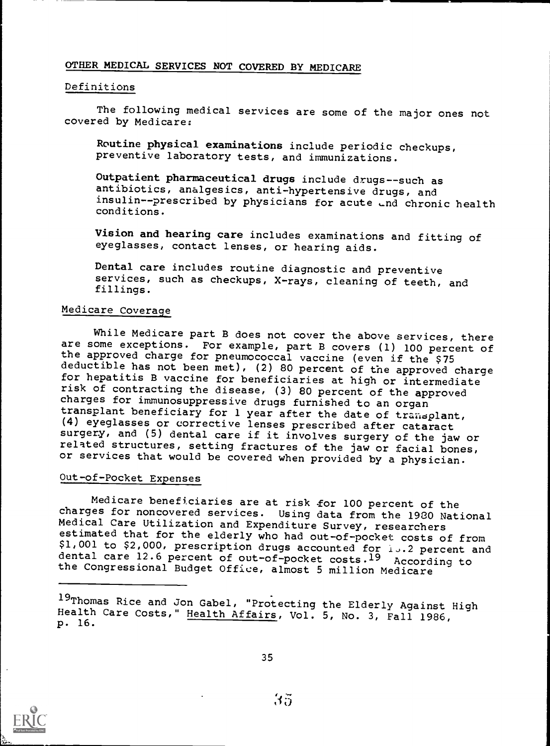## OTHER MEDICAL SERVICES NOT COVERED BY MEDICARE

#### Definitions

The following medical services are some of the major ones not covered by Medicare:

Routine physical examinations include periodic checkups, preventive laboratory tests, and immunizations.

Outpatient pharmaceutical drugs include drugs--such as antibiotics, analgesics, anti-hypertensive drugs, and insulin--prescribed by physicians for acute  $\Box$ nd chronic health conditions.

Vision and hearing care includes examinations and fitting of eyeglasses, contact lenses, or hearing aids.

Dental care includes routine diagnostic and preventive services, such as checkups, X-rays, cleaning of teeth, and fillings.

## Medicare Coverage

While Medicare part B does not cover the above services, there are some exceptions. For example, part B covers (1) 100 percent of the approved charge for pneumococcal vaccine (even if the \$75<br>deductible has not been met), (2) 80 percent of the approved charge for hepatitis B vaccine for beneficiaries at high or intermediate risk of contracting the disease, (3) 80 percent of the approved charges for immunosuppressive drugs furnished to an organ transplant beneficiary for 1 year after the date of transplant, (4) eyeglasses or corrective lenses prescribed after cataract surgery, and (5) dental care if it involves surgery of the jaw or related structures, setting fractures of the jaw or facial bones, or services that would be covered when provided by a physician.

## Out-of-Pocket Expenses

Medicare beneficiaries are at risk for 100 percent of the charges for noncovered services. Using data from the 1980 National Medical Care Utilization and Expenditure Survey, researchers estimated that for the elderly who had out-of-pocket costs of from \$1,001 to \$2,000, prescription drugs accounted for  $1.3.2$  percent and dental care 12.6 percent of out-of-pocket costs.<sup>19</sup> According to the Congressional Budget Office, almost 5 million Medicare





<sup>19</sup>Thomas Rice and Jon Gabel, "Protecting the Elderly Against High Health Care Costs," <u>Health Affairs</u>, Vol. 5, No. 3, Fall 1986, Theory<br>p. 16.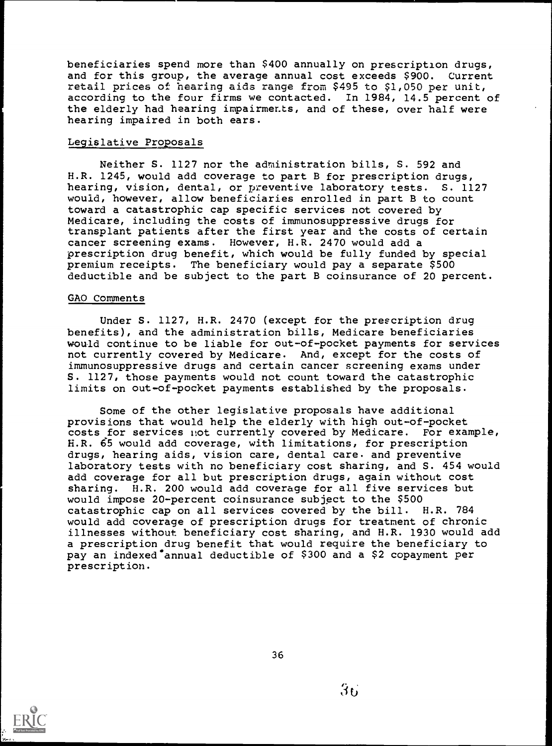beneficiaries spend more than \$400 annually on prescription drugs, and for this group, the average annual cost exceeds \$900. Current retail prices of hearing aids range from \$495 to \$1,050 per unit, according to the four firms we contacted. In 1984, 14.5 percent of the elderly had hearing impairments, and of these, over half were hearing impaired in both ears.

#### Legislative Proposals

Neither S. 1127 nor the administration bills, S. 592 and H.R. 1245, would add coverage to part B for prescription drugs, hearing, vision, dental, or preventive laboratory tests. S. 1127 would, however, allow beneficiaries enrolled in part B to count toward a catastrophic cap specific services not covered by Medicare, including the costs of immunosuppressive drugs for transplant patients after the first year and the costs of certain cancer screening exams. However, H.R. 2470 would add a prescription drug benefit, which would be fully funded by special premium receipts. The beneficiary would pay a separate \$500 deductible and be subject to the part B coinsurance of 20 percent.

#### GAO Comments

Under S. 1127, H.R. 2470 (except for the prescription drug benefits), and the administration bills, Medicare beneficiaries would continue to be liable for out-of-pocket payments for services not currently covered by Medicare. And, except for the costs of immunosuppressive drugs and certain cancer screening exams under S. 1127, those payments would not count toward the catastrophic limits on out-of-pocket payments established by the proposals.

Some of the other legislative proposals have additional provisions that would help the elderly with high out-of-pocket costs for services not currently covered by Medicare. For example, H.R. 65 would add coverage, with limitations, for prescription drugs, hearing aids, vision care, dental care. and preventive laboratory tests with no beneficiary cost sharing, and S. 454 would add coverage for all but prescription drugs, again without cost sharing. H.R. 200 would add coverage for all five services but would impose 20-percent coinsurance subject to the \$500 catastrophic cap on all services covered by the bill. H.R. 784 would add coverage of prescription drugs for treatment of chronic illnesses without beneficiary cost sharing, and H.R. 1930 would add a prescription drug benefit that would require the beneficiary to pay an indexed annual deductible of \$300 and a \$2 copayment per prescription.

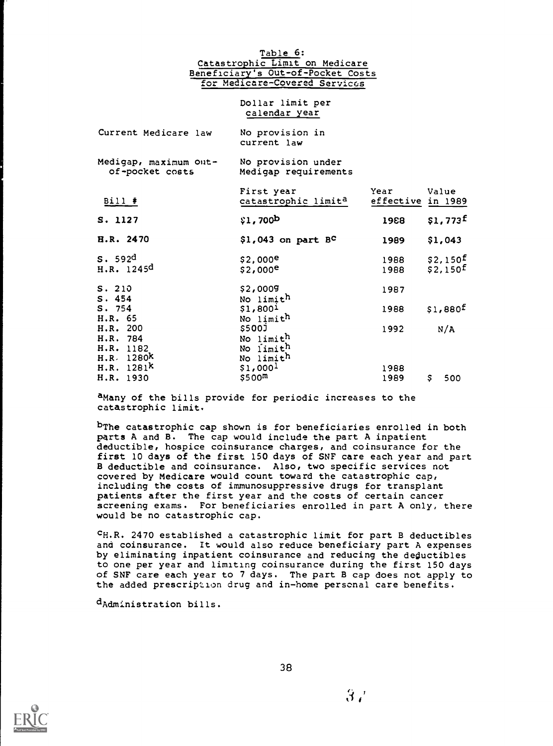Table 6: Catastrophic Limit on Medicare Beneficiary's Out-of-Pocket Costs for Medicare-Covered Services

> Dollar limit per calendar year

| Current Medicare law                                        | No provision in<br>current law                                  |              |                                              |
|-------------------------------------------------------------|-----------------------------------------------------------------|--------------|----------------------------------------------|
| Medigap, maximum out- No provision under<br>of-pocket costs | Medigap requirements                                            |              |                                              |
| Bill #                                                      | First year<br>catastrophic limit <sup>a</sup> effective in 1989 | Year         | Value                                        |
| S. 1127                                                     | \$1,700 <sup>b</sup>                                            | 1988         | $$1,773^{\text{f}}$                          |
| <b>H.R. 2470</b>                                            | $$1,043$ on part $B^C$                                          | 1989         | \$1,043                                      |
| S. 592d<br>H.R. 1245 <sup>d</sup>                           | \$2,000 <sup>e</sup><br>$$2,000^e$                              | 1988<br>1988 | \$2,150 <sup>f</sup><br>\$2,150 <sup>f</sup> |
| S.210<br>S.454                                              | \$2,0009<br>No limit <sup>h</sup>                               | 1987         |                                              |
| S.754<br>H.R. 65                                            | \$1,800 <sup>1</sup><br>No limith                               | 1988         | \$1,880 <sup>f</sup>                         |
| H.R. 200<br>H.R. 784<br>H.R. 1182<br>H.R. 1280 <sup>k</sup> | \$500J<br>No limith<br>No limith<br>No limit <sup>h</sup>       | 1992         | N/A                                          |
| H.R. 1281 <sup>k</sup><br>H.R. 1930                         | \$1,000 <sup>1</sup><br>\$500 <sup>m</sup>                      | 1988<br>1989 | \$500                                        |

aMany of the bills provide for periodic increases to the catastrophic limit.

bThe catastrophic cap shown is for beneficiaries enrolled in both parts A and B. The cap would include the part A inpatient deductible, hospice coinsurance charges, and coinsurance for the first 10 days of the first 150 days of SNF care each year and part B deductible and coinsurance. Also, two specific services not covered by Medicare would count toward the catastrophic cap, including the costs of immunosuppressive drugs for transplant patients after the first year and the costs of certain cancer screening exams. For beneficiaries enrolled in part A only, there would be no catastrophic cap.

cH.R. 2470 established a catastrophic limit for part B deductibles and coinsurance. It would also reduce beneficiary part A expenses by eliminating inpatient coinsurance and reducing the deductibles to one per year and limiting coinsurance during the first 150 days of SNF care each year to 7 days. The part B cap does not apply to the added prescription drug and in-home personal care benefits.

dAdministration bills.



 $3/$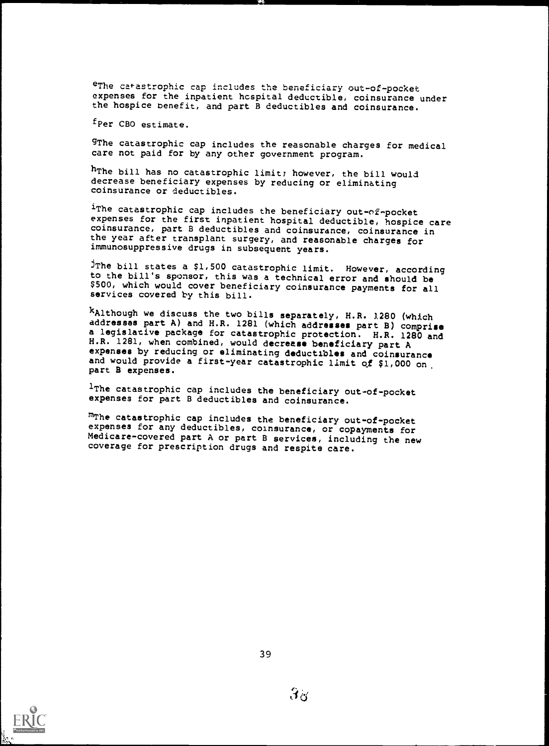eThe catastrophic cap includes the beneficiary out-of-pocket expenses for the inpatient hcspital deductible, coinsurance under the hospice benefit, and part B deductibles and coinsurance.

fPer CBO estimate.

gThe catastrophic cap includes the reasonable charges for medical care not paid for by any other government program.

hThe bill has no catastrophic limit; however, the bill would decrease beneficiary expenses by reducing or eliminating coinsurance or deductibles.

irhe catastrophic cap includes the beneficiary out-of-pocket<br>expenses for the first inpatient hospital deductible, hospice care coinsurance, part B deductibles and coinsurance, coinsurance in the year after transplant surgery, and reasonable charges for immunosuppressive drugs in subsequent years.

JThe bill states a \$1,500 catastrophic limit. However, according to the bill's sponsor, this was a technical error and should be \$500, which would cover beneficiary coinsurance payments for all services covered by this bill.

kAlthough we discuss the two bills separately, H.R. 1280 (which addresses part A) and H.R. 1281 (which addresses part B) comprise a legislative package for catastrophic protection. H.R. 1280 and H.R. 1281, when combined, would decrease beneficiary part A H.R. 1281, when combined, when combined a expenses by reducing or eliminating deductibles and coinsurance and would provide a first-year catastrophic limit of \$1,000 on.

1The catastrophic cap includes the beneficiary out-of-pocket expenses for part B deductibles and coinsurance.

m<sub>The catastrophic cap includes the beneficiary out-of-pocket</sub> expenses for any deductibles, coinsurance, or copayments for Medicare-covered part A or part B services, including the new coverage for prescription drugs and respite care.

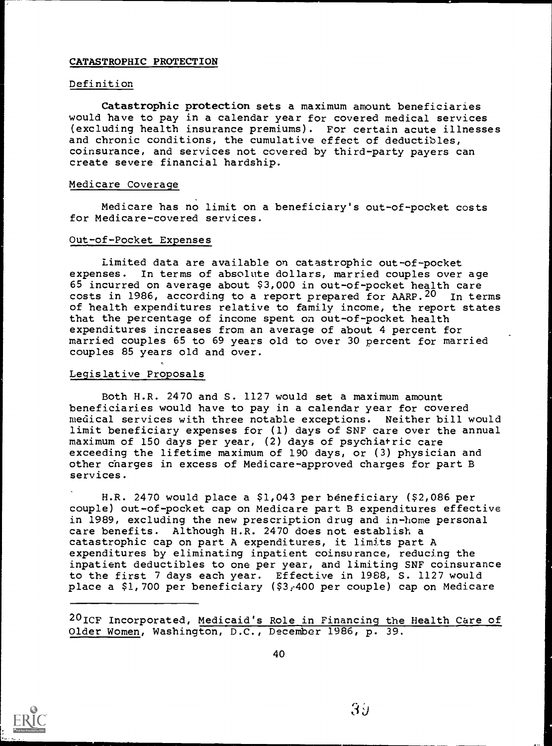#### CATASTROPHIC PROTECTION

#### Definition

Catastrophic protection sets a maximum amount beneficiaries would have to pay in a calendar year for covered medical services (excluding health insurance premiums). For certain acute illnesses and chronic conditions, the cumulative effect of deductibles, coinsurance, and services not covered by third-party payers can create severe financial hardship.

#### Medicare Coverage

Medicare has no limit on a beneficiary's out-of-pocket costs for Medicare-covered services.

#### Out-of-Pocket Expenses

Limited data are available on catastrophic out-of-pocket expenses. In terms of absolute dollars, married couples over age 65 incurred on average about \$3,000 in out-of-pocket health care costs in 1986, according to a report prepared for AARP.<sup>20</sup> In terms of health expenditures relative to family income, the report states that the percentage of income spent on out-of-pocket health expenditures increases from an average of about 4 percent for married couples 65 to 69 years old to over 30 percent for married couples 85 years old and over.

#### Legislative Proposals

Both H.R. 2470 and S. 1127 would set a maximum amount beneficiaries would have to pay in a calendar year for covered medical services with three notable exceptions. Neither bill would limit beneficiary expenses for (1) days of SNF care over the annual maximum of 150 days per year, (2) days of psychiatric care exceeding the lifetime maximum of 190 days, or (3) physician and other charges in excess of Medicare-approved charges for part B services.

H.R. 2470 would place a \$1,043 per beneficiary (\$2,086 per couple) out-of-pocket cap on Medicare part B expenditures effective in 1989, excluding the new prescription drug and in-home personal care benefits. Although H.R. 2470 does not establish a catastrophic cap on part A expenditures, it limits part A expenditures by eliminating inpatient coinsurance, reducing the inpatient deductibles to one per year, and limiting SNF coinsurance to the first 7 days each year. Effective in 1988, S. 1127 would place a \$1,700 per beneficiary (\$3,-400 per couple) cap on Medicare

20ICF Incorporated, Medicaid's Role in Financing the Health Care of Older Women, Washington, D.C., December 1986, p. 39.

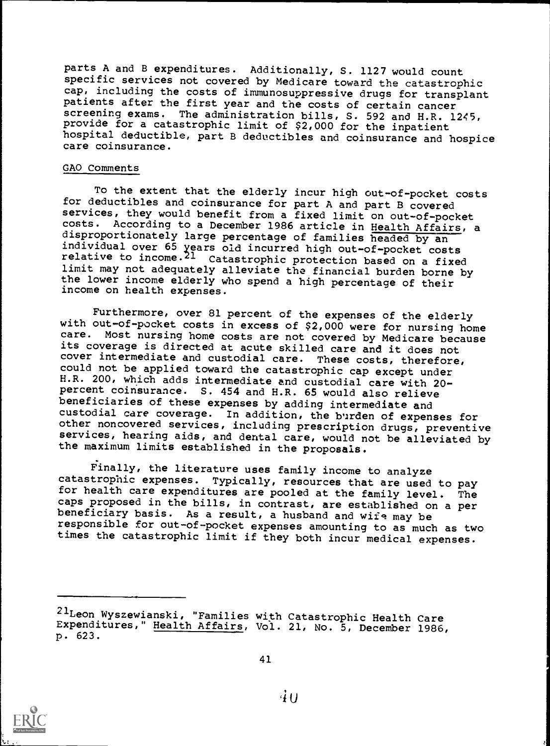parts A and B expenditures. Additionally, S. 1127 would count specific services not covered by Medicare toward the catastrophic cap, including the costs of immunosuppressive drugs for transplant patients after the first year and the costs of certain cancer screening exams. The administration bills, S. 592 and H.R. 1245, provide for a catastrophic limit of \$2,000 for the inpatient hospital deductible, part B deductibles and coinsurance and hospice care coinsurance.

#### GAO Comments

To the extent that the elderly incur high out-of-pocket costs for deductibles and coinsurance for part A and part B covered services, they would benefit from a fixed limit on out-of-pocket costs. According to a December 1986 article in Health Affairs, a disproportionately large percentage of families headed by an individual over 65 years old incurred high out-of-pocket costs relative to income.<sup>21</sup> Catastrophic protection based on a fixed<br>limit may not adequately alleviate the financial burden borne by the lower income elderly who spend a high percentage of their income on health expenses.

Furthermore, over 81 percent of the expenses of the elderly with out-of-pocket costs in excess of \$2,000 were for nursing home care. Most nursing home costs are not covered by Medicare because its coverage is directed at acute skilled care and it does not cover intermediate and custodial care. These costs, therefore, could not be applied toward the catastrophic cap except under H.R. 200, which adds intermediate and custodial care with 20 percent coinsurance. S. 454 and H.R. 65 would also relieve beneficiaries of these expenses by adding intermediate and custodial care coverage. In addition, the b'irden of expenses for other noncovered services, including prescription drugs, preventive services, hearing aids, and dental care, would not be alleviated by the maximum limits established in the proposals.

Finally, the literature uses family income to analyze catastrophic expenses. Typically, resources that are used to pay for health care expenditures are pooled at the family level. The caps proposed in the bills, in contrast, are established on a per<br>beneficiary basis. As a result, a husband and wife may be responsible for out-of-pocket expenses amounting to as much as two times the catastrophic limit if they both incur medical expenses.



<sup>2-</sup>Leon Wyszewianski, "Families with Catastrophic Health Care Expenditures," Health Affairs, Vol. 21, No. 5, December 1986, p. 623.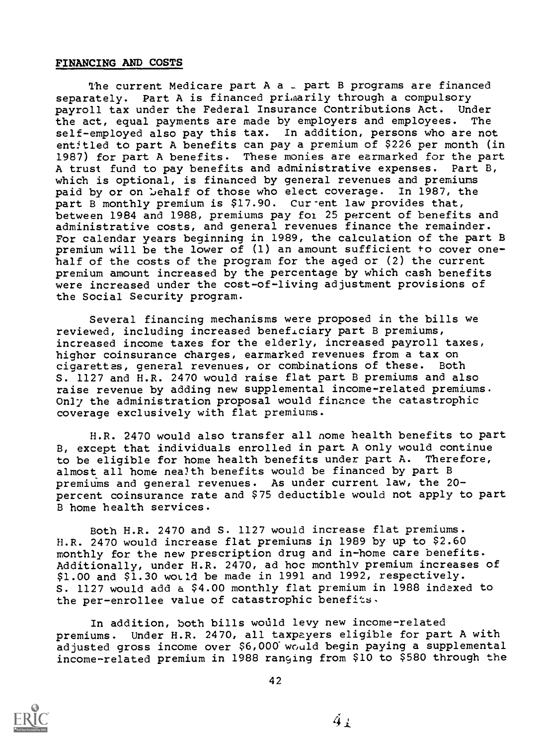#### FINANCING AND COSTS

The current Medicare part A a  $\sim$  part B programs are financed separately. Part A is financed primarily through a compulsory payroll tax under the Federal Insurance Contributions Act. Under<br>the act. equal payments are made by employers and employees. The the act, equal payments are made by employers and employees. self-employed also pay this tax. In addition, persons who are not entitled to part A benefits can pay a premium of \$226 per month (in 1987) for part A benefits. These monies are earmarked for the part A trust fund to pay benefits and administrative expenses. Part B, which is optional, is financed by general revenues and premiums paid by or on behalf of those who elect coverage. In 1987, the part B monthly premium is \$17.90. Cur-ent law provides that, between 1984 and 1988, premiums pay foi. 25 percent of benefits and administrative costs, and general revenues finance the remainder. For calendar years beginning in 1989, the calculation of the part B premium will be the lower of (1) an amount sufficient to cover onehalf of the costs of the program for the aged or (2) the current premium amount increased by the percentage by which cash benefits were increased under the cost-of-living adjustment provisions of the Social Security program.

Several financing mechanisms were proposed in the bills we reviewed, including increased beneficiary part B premiums, increased income taxes for the elderly, increased payroll taxes, higher coinsurance charges, earmarked revenues from a tax on<br>cigarettes, general revenues, or combinations of these. Both cigarettes, general revenues, or combinations of these. S. 1127 and H.R. 2470 would raise flat part B premiums and also raise revenue by adding new supplemental income-related premiums. Only the administration proposal would finance the catastrophic coverage exclusively with flat premiums.

H.R. 2470 would also transfer all nome health benefits to part B, except that individuals enrolled in part A only would continue<br>to be eligible for home health benefits under part A. Therefore, to be eligible for home health benefits under part A. almost all home nealth benefits would be financed by part B premiums and general revenues. As under current law, the 20 percent coinsurance rate and \$75 deductible would not apply to part B home health services.

Both H.R. 2470 and S. 1127 would increase flat premiums. H.R. 2470 would increase flat premiums in 1989 by up to \$2.60 monthly for the new prescription drug and in-home care benefits. Additionally, under H.R. 2470, ad hoc monthly premium increases of \$1.00 and \$1.30 world be made in 1991 and 1992, respectively. S. 1127 would add a \$4.00 monthly flat premium in 1988 indexed to the per-enrollee value of catastrophic benefits,

In addition, both bills would levy new income-related premiums. Under H.R. 2470, all taxpayers eligible for part A with adjusted gross income over \$6,000 would begin paying a supplemental income-related premium in 1988 ranging from \$10 to \$580 through the



 $\AA_1$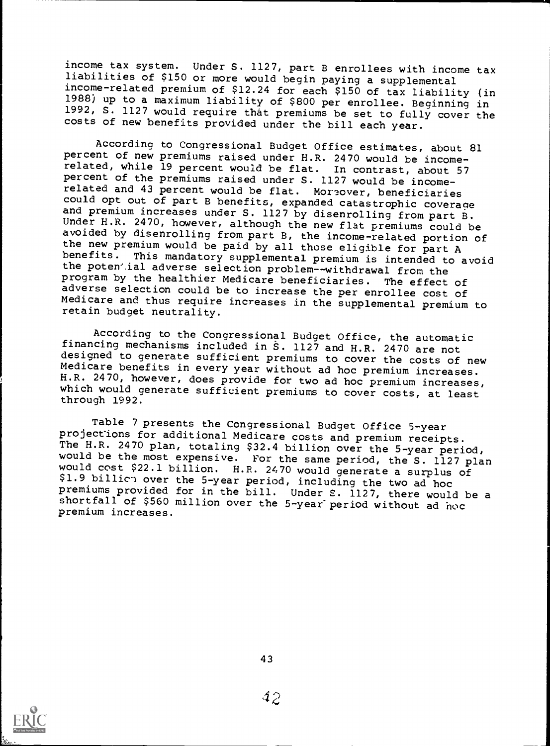income tax system. Under S. 1127, part B enrollees with income tax liabilities of \$150 or more would begin paying a supplemental income-related premium of \$12.24 for each \$150 of tax liability (in 1988) up to a maximum liability of \$800 per enrollee. Beginning in 1992, S. 1127 would require that premiums be set to fully cover the costs of new benefits provided under the bill each year.

According to Congressional Budget Office estimates, about 81<br>percent of new premiums raised under H.R. 2470 would be income-<br>related, while 19 percent would be flat. In contrast, about 57 percent of the premiums raised under S. 1127 would be incomerelated and 43 percent would be flat. Moreover, beneficiaries<br>could opt out of part B benefits, expanded catastrophic coverage and premium increases under S. 1127 by disenrolling from part B.<br>Under H.R. 2470, however, although the new flat premiums could be avoided by disenrolling from part B, the income-related portion of the new premium would be paid by all those eligible for part A benefits. This mandatory supplemental premium is intended to avoid the potential adverse selection problem--withdrawal from the<br>program by the healthier Medicare beneficiaries. The effect of program by the healthier Medicare beneficiaries. The effect of adverse selection could be to increase the per enrollee cost of Medicare and thus require increases in the supplemental premium to retain budget neutrality.

According to the Congressional Budget Office, the automatic<br>financing mechanisms included in S. 1127 and H.R. 2470 are not designed to generate sufficient premiums to cover the costs of new Medicare benefits in every year without ad hoc premium increases.<br>H.R. 2470, however, does provide for two ad hoc premium increases, which would generate sufficient premiums to cover costs, at least through 1992.

Table 7 presents the Congressional Budget Office 5-year<br>projections for additional Medicare costs and premium receipts. The H.R. 2470 plan, totaling \$32.4 billion over the 5-year period,<br>would be the most expensive. For the same period, the S. 1127 plan would cost \$22.1 billion. H.R. 2470 would generate a surplus of \$1.9 billich over the 5-year period, including the two ad hoc<br>premiums provided for in the bill. Under S. 1127, there would be a shortfall of \$560 million over the 5-year period without ad hoc premium increases.



43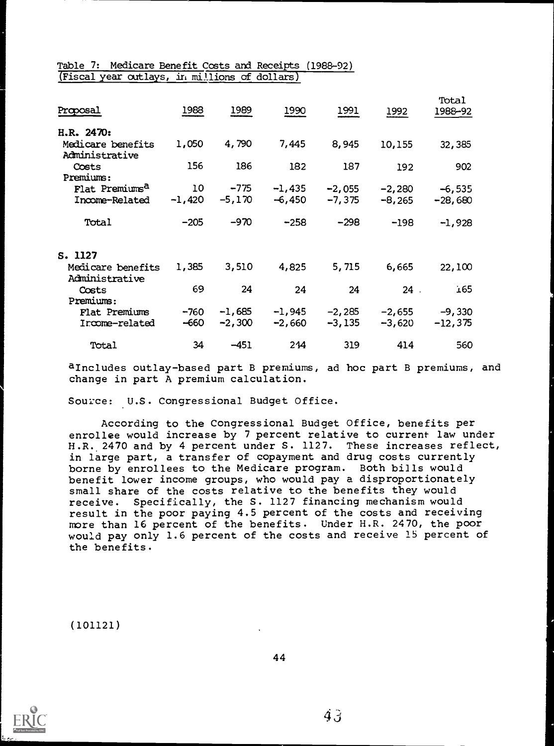#### Table 7: Medicare Benefit Costs and Receipts (1988-92) (Fiscal year outlays, in millions of dollars)

| Proposal                            | 1988     | 1989     | 1990     | 1991     | 1992     | Total<br>1988-92 |  |
|-------------------------------------|----------|----------|----------|----------|----------|------------------|--|
| H.R. 2470:                          |          |          |          |          |          |                  |  |
| Medicare benefits<br>Administrative | 1,050    | 4,790    | 7,445    | 8,945    | 10,155   | 32,385           |  |
| Costs<br>Premiums:                  | 156      | 186      | 182      | 187      | 192      | 902              |  |
| Flat Premiums <sup>a</sup>          | 10       | $-775$   | $-1,435$ | $-2,055$ | $-2,280$ | $-6,535$         |  |
| Income-Related                      | $-1,420$ | $-5,170$ | $-6,450$ | $-7,375$ | $-8,265$ | $-28,680$        |  |
| Total                               | $-205$   | $-970$   | $-258$   | $-298$   | $-198$   | $-1,928$         |  |
| S. 1127                             |          |          |          |          |          |                  |  |
| Medicare benefits<br>Administrative | 1,385    | 3,510    | 4,825    | 5,715    | 6,665    | 22,100           |  |
| Costs<br>Premiums:                  | 69       | 24       | 24       | 24       | $24$ .   | 165              |  |
| Flat Premiums                       | $-760$   | $-1,685$ | $-1,945$ | $-2,285$ | $-2,655$ | $-9,330$         |  |
| Income-related                      | -660     | $-2,300$ | $-2,660$ | $-3,135$ | $-3,620$ | $-12,375$        |  |
| Total                               | 34       | $-451$   | 244      | 319      | 414      | 560              |  |

aIncludes outlay-based part B premiums, ad hoc part B premiums, and change in part A premium calculation.

Source: U.S. Congressional Budget Office.

According to the Congressional Budget Office, benefits per enrollee would increase by 7 percent relative to current law under H.R. 2470 and by 4 percent under S. 1127. These increases reflect, in large part, a transfer of copayment and drug costs currently borne by enrollees to the Medicare program. Both bills would benefit lower income groups, who would pay a disproportionately small share of the costs relative to the benefits they would receive. Specifically, the S. 1127 financing mechanism would result in the poor paying 4.5 percent of the costs and receiving more than 16 percent of the benefits. Under H.R. 2470, the poor would pay only 1.6 percent of the costs and receive 15 percent of the benefits.

(101121)

44



 $\ddot{4}$  3